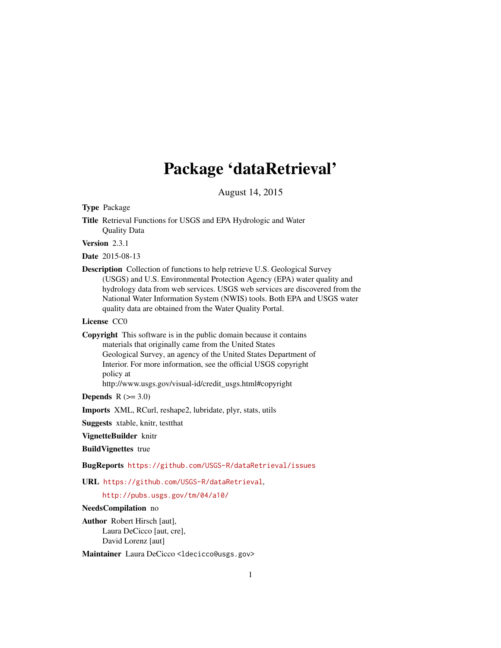# Package 'dataRetrieval'

August 14, 2015

# <span id="page-0-0"></span>Type Package

Title Retrieval Functions for USGS and EPA Hydrologic and Water Quality Data

Version 2.3.1

Date 2015-08-13

Description Collection of functions to help retrieve U.S. Geological Survey (USGS) and U.S. Environmental Protection Agency (EPA) water quality and hydrology data from web services. USGS web services are discovered from the National Water Information System (NWIS) tools. Both EPA and USGS water quality data are obtained from the Water Quality Portal.

# License CC0

Copyright This software is in the public domain because it contains materials that originally came from the United States Geological Survey, an agency of the United States Department of Interior. For more information, see the official USGS copyright policy at http://www.usgs.gov/visual-id/credit\_usgs.html#copyright

# **Depends**  $R$  ( $>= 3.0$ )

Imports XML, RCurl, reshape2, lubridate, plyr, stats, utils

Suggests xtable, knitr, testthat

VignetteBuilder knitr

BuildVignettes true

BugReports <https://github.com/USGS-R/dataRetrieval/issues>

URL <https://github.com/USGS-R/dataRetrieval>,

# <http://pubs.usgs.gov/tm/04/a10/>

# NeedsCompilation no

Author Robert Hirsch [aut], Laura DeCicco [aut, cre], David Lorenz [aut]

Maintainer Laura DeCicco <ldecicco@usgs.gov>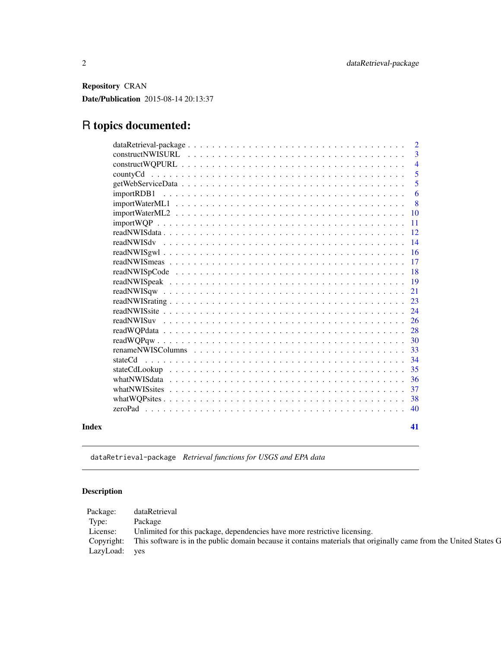<span id="page-1-0"></span>Repository CRAN Date/Publication 2015-08-14 20:13:37

# R topics documented:

|       |            | $\overline{\phantom{a}}$ |
|-------|------------|--------------------------|
|       |            | $\overline{4}$           |
|       | countyCd   | $\overline{5}$           |
|       |            | 5                        |
|       | importRDB1 | 6                        |
|       |            | 8                        |
|       |            | 10                       |
|       |            | $\overline{11}$          |
|       |            | <sup>12</sup>            |
|       |            |                          |
|       |            | 16                       |
|       |            |                          |
|       |            | <sup>18</sup>            |
|       |            |                          |
|       |            | 21                       |
|       |            |                          |
|       |            | 24                       |
|       |            |                          |
|       |            |                          |
|       |            |                          |
|       |            | 33                       |
|       |            |                          |
|       |            | -35                      |
|       |            |                          |
|       |            | 37                       |
|       |            |                          |
|       |            |                          |
| Index |            | 41                       |

dataRetrieval-package *Retrieval functions for USGS and EPA data*

# Description

| Package:  | lataRetrieva                                                                                                                 |
|-----------|------------------------------------------------------------------------------------------------------------------------------|
| Type:     | Package                                                                                                                      |
| License:  | Unlimited for this package, dependencies have more restrictive licensing.                                                    |
|           | Copyright: This software is in the public domain because it contains materials that originally came from the United States G |
| LazyLoad: | yes                                                                                                                          |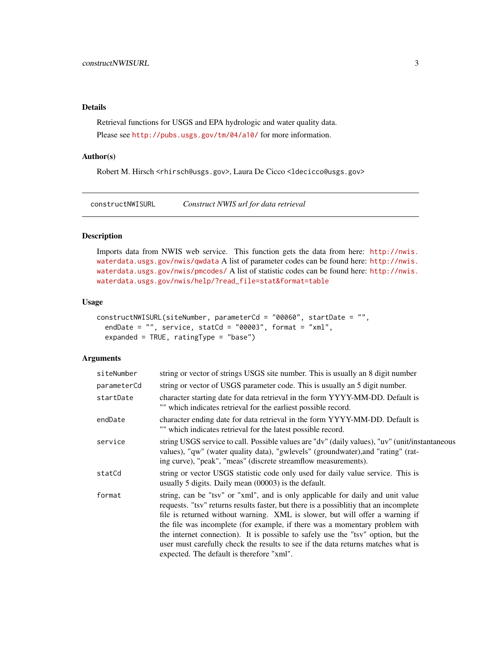# <span id="page-2-0"></span>Details

Retrieval functions for USGS and EPA hydrologic and water quality data. Please see <http://pubs.usgs.gov/tm/04/a10/> for more information.

#### Author(s)

Robert M. Hirsch <rhirsch@usgs.gov>, Laura De Cicco <ldecicco@usgs.gov>

<span id="page-2-1"></span>constructNWISURL *Construct NWIS url for data retrieval*

#### Description

Imports data from NWIS web service. This function gets the data from here: [http://nwis.](http://nwis.waterdata.usgs.gov/nwis/qwdata) [waterdata.usgs.gov/nwis/qwdata](http://nwis.waterdata.usgs.gov/nwis/qwdata) A list of parameter codes can be found here: [http://nwis.](http://nwis.waterdata.usgs.gov/nwis/pmcodes/) [waterdata.usgs.gov/nwis/pmcodes/](http://nwis.waterdata.usgs.gov/nwis/pmcodes/) A list of statistic codes can be found here: [http://nwis.](http://nwis.waterdata.usgs.gov/nwis/help/?read_file=stat&format=table) [waterdata.usgs.gov/nwis/help/?read\\_file=stat&format=table](http://nwis.waterdata.usgs.gov/nwis/help/?read_file=stat&format=table)

#### Usage

```
constructNWISURL(siteNumber, parameterCd = "00060", startDate = "",
  endDate = ", service, statCd = "00003", format = "xml",
  expanded = TRUE, ratingType = "base")
```

| siteNumber  | string or vector of strings USGS site number. This is usually an 8 digit number                                                                                                                                                                                                                                                                                                                                                                                                                                                                             |  |  |  |
|-------------|-------------------------------------------------------------------------------------------------------------------------------------------------------------------------------------------------------------------------------------------------------------------------------------------------------------------------------------------------------------------------------------------------------------------------------------------------------------------------------------------------------------------------------------------------------------|--|--|--|
| parameterCd | string or vector of USGS parameter code. This is usually an 5 digit number.                                                                                                                                                                                                                                                                                                                                                                                                                                                                                 |  |  |  |
| startDate   | character starting date for data retrieval in the form YYYY-MM-DD. Default is<br>"" which indicates retrieval for the earliest possible record.                                                                                                                                                                                                                                                                                                                                                                                                             |  |  |  |
| endDate     | character ending date for data retrieval in the form YYYY-MM-DD. Default is<br>"" which indicates retrieval for the latest possible record.                                                                                                                                                                                                                                                                                                                                                                                                                 |  |  |  |
| service     | string USGS service to call. Possible values are "dv" (daily values), "uv" (unit/instantaneous<br>values), "qw" (water quality data), "gwlevels" (groundwater), and "rating" (rat-<br>ing curve), "peak", "meas" (discrete streamflow measurements).                                                                                                                                                                                                                                                                                                        |  |  |  |
| statCd      | string or vector USGS statistic code only used for daily value service. This is<br>usually 5 digits. Daily mean $(00003)$ is the default.                                                                                                                                                                                                                                                                                                                                                                                                                   |  |  |  |
| format      | string, can be "tsv" or "xml", and is only applicable for daily and unit value<br>requests. "tsv" returns results faster, but there is a possibility that an incomplete<br>file is returned without warning. XML is slower, but will offer a warning if<br>the file was incomplete (for example, if there was a momentary problem with<br>the internet connection). It is possible to safely use the "tsv" option, but the<br>user must carefully check the results to see if the data returns matches what is<br>expected. The default is therefore "xml". |  |  |  |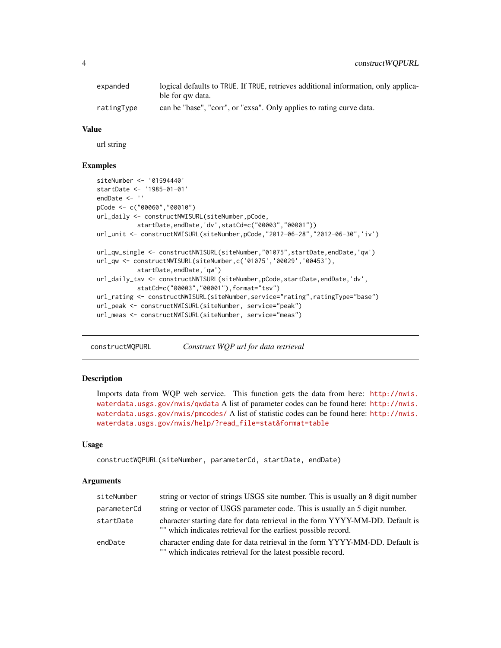<span id="page-3-0"></span>

| expanded   | logical defaults to TRUE. If TRUE, retrieves additional information, only applica- |  |  |  |
|------------|------------------------------------------------------------------------------------|--|--|--|
|            | ble for qw data.                                                                   |  |  |  |
| ratingType | can be "base", "corr", or "exsa". Only applies to rating curve data.               |  |  |  |

#### Value

url string

#### Examples

```
siteNumber <- '01594440'
startDate <- '1985-01-01'
endDate <- ''
pCode <- c("00060","00010")
url_daily <- constructNWISURL(siteNumber,pCode,
           startDate,endDate,'dv',statCd=c("00003","00001"))
url_unit <- constructNWISURL(siteNumber,pCode,"2012-06-28","2012-06-30",'iv')
url_qw_single <- constructNWISURL(siteNumber,"01075",startDate,endDate,'qw')
url_qw <- constructNWISURL(siteNumber,c('01075','00029','00453'),
           startDate,endDate,'qw')
url_daily_tsv <- constructNWISURL(siteNumber, pCode, startDate, endDate, 'dv',
           statCd=c("00003","00001"),format="tsv")
url_rating <- constructNWISURL(siteNumber,service="rating",ratingType="base")
url_peak <- constructNWISURL(siteNumber, service="peak")
url_meas <- constructNWISURL(siteNumber, service="meas")
```
constructWQPURL *Construct WQP url for data retrieval*

# **Description**

Imports data from WQP web service. This function gets the data from here: [http://nwis.](http://nwis.waterdata.usgs.gov/nwis/qwdata) [waterdata.usgs.gov/nwis/qwdata](http://nwis.waterdata.usgs.gov/nwis/qwdata) A list of parameter codes can be found here: [http://nwis.](http://nwis.waterdata.usgs.gov/nwis/pmcodes/) [waterdata.usgs.gov/nwis/pmcodes/](http://nwis.waterdata.usgs.gov/nwis/pmcodes/) A list of statistic codes can be found here: [http://nwis.](http://nwis.waterdata.usgs.gov/nwis/help/?read_file=stat&format=table) [waterdata.usgs.gov/nwis/help/?read\\_file=stat&format=table](http://nwis.waterdata.usgs.gov/nwis/help/?read_file=stat&format=table)

#### Usage

```
constructWQPURL(siteNumber, parameterCd, startDate, endDate)
```

| siteNumber  | string or vector of strings USGS site number. This is usually an 8 digit number                                                                 |
|-------------|-------------------------------------------------------------------------------------------------------------------------------------------------|
| parameterCd | string or vector of USGS parameter code. This is usually an 5 digit number.                                                                     |
| startDate   | character starting date for data retrieval in the form YYYY-MM-DD. Default is<br>"" which indicates retrieval for the earliest possible record. |
| endDate     | character ending date for data retrieval in the form YYYY-MM-DD. Default is<br>"" which indicates retrieval for the latest possible record.     |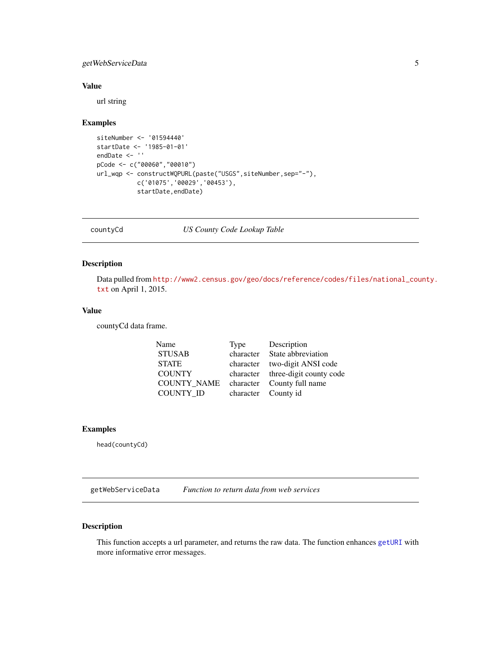# <span id="page-4-0"></span>getWebServiceData 5

# Value

url string

#### Examples

```
siteNumber <- '01594440'
startDate <- '1985-01-01'
endDate <- ''
pCode <- c("00060","00010")
url_wqp <- constructWQPURL(paste("USGS",siteNumber,sep="-"),
           c('01075','00029','00453'),
           startDate,endDate)
```
countyCd *US County Code Lookup Table*

# Description

Data pulled from [http://www2.census.gov/geo/docs/reference/codes/files/national\\_cou](http://www2.census.gov/geo/docs/reference/codes/files/national_county.txt)nty. [txt](http://www2.census.gov/geo/docs/reference/codes/files/national_county.txt) on April 1, 2015.

#### Value

countyCd data frame.

| Name               | Type | Description                       |
|--------------------|------|-----------------------------------|
| <b>STUSAB</b>      |      | character State abbreviation      |
| <b>STATE</b>       |      | character two-digit ANSI code     |
| <b>COUNTY</b>      |      | character three-digit county code |
| <b>COUNTY NAME</b> |      | character County full name        |
| <b>COUNTY ID</b>   |      | character County id               |

#### Examples

head(countyCd)

getWebServiceData *Function to return data from web services*

# Description

This function accepts a url parameter, and returns the raw data. The function enhances [getURI](#page-0-0) with more informative error messages.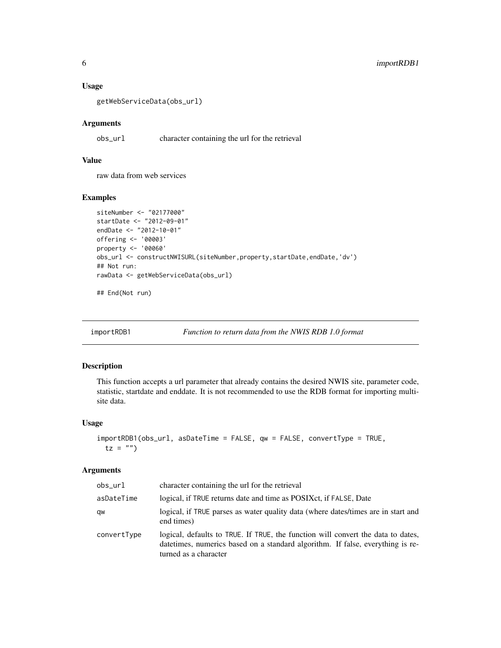#### Usage

getWebServiceData(obs\_url)

#### Arguments

obs\_url character containing the url for the retrieval

# Value

raw data from web services

#### Examples

```
siteNumber <- "02177000"
startDate <- "2012-09-01"
endDate <- "2012-10-01"
offering <- '00003'
property <- '00060'
obs_url <- constructNWISURL(siteNumber, property, startDate, endDate, 'dv')
## Not run:
rawData <- getWebServiceData(obs_url)
```
## End(Not run)

<span id="page-5-1"></span>importRDB1 *Function to return data from the NWIS RDB 1.0 format*

#### Description

This function accepts a url parameter that already contains the desired NWIS site, parameter code, statistic, startdate and enddate. It is not recommended to use the RDB format for importing multisite data.

## Usage

```
importRDB1(obs_url, asDateTime = FALSE, qw = FALSE, convertType = TRUE,
 tz = "")
```

| obs_url     | character containing the url for the retrieval                                                                                                                                              |  |  |
|-------------|---------------------------------------------------------------------------------------------------------------------------------------------------------------------------------------------|--|--|
| asDateTime  | logical, if TRUE returns date and time as POSIX ct, if FALSE, Date                                                                                                                          |  |  |
| qw          | logical, if TRUE parses as water quality data (where dates/times are in start and<br>end times)                                                                                             |  |  |
| convertType | logical, defaults to TRUE. If TRUE, the function will convert the data to dates,<br>datetimes, numerics based on a standard algorithm. If false, everything is re-<br>turned as a character |  |  |

<span id="page-5-0"></span>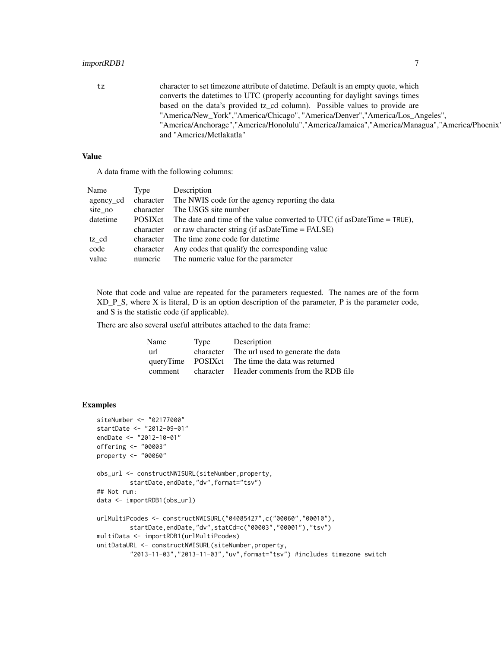#### importRDB1 7

tz character to set timezone attribute of datetime. Default is an empty quote, which converts the datetimes to UTC (properly accounting for daylight savings times based on the data's provided tz\_cd column). Possible values to provide are "America/New\_York","America/Chicago", "America/Denver","America/Los\_Angeles", "America/Anchorage","America/Honolulu","America/Jamaica","America/Managua","America/Phoenix", and "America/Metlakatla"

# Value

A data frame with the following columns:

| Name      | Type      | Description                                                                 |
|-----------|-----------|-----------------------------------------------------------------------------|
| agency_cd |           | character The NWIS code for the agency reporting the data                   |
| site_no   | character | The USGS site number                                                        |
| datetime  | POSIXct   | The date and time of the value converted to UTC (if as Date Time $=$ TRUE), |
|           | character | or raw character string (if as Date Time $=$ FALSE)                         |
| tz cd     | character | The time zone code for date time                                            |
| code      | character | Any codes that qualify the corresponding value                              |
| value     | numeric   | The numeric value for the parameter                                         |

Note that code and value are repeated for the parameters requested. The names are of the form  $XD$  P S, where X is literal, D is an option description of the parameter, P is the parameter code, and S is the statistic code (if applicable).

There are also several useful attributes attached to the data frame:

| Name              | Type      | Description                       |
|-------------------|-----------|-----------------------------------|
| url               | character | The url used to generate the data |
| queryTime POSIXct |           | The time the data was returned    |
| comment           | character | Header comments from the RDB file |

# Examples

```
siteNumber <- "02177000"
startDate <- "2012-09-01"
endDate <- "2012-10-01"
offering <- "00003"
property <- "00060"
obs_url <- constructNWISURL(siteNumber,property,
        startDate,endDate,"dv",format="tsv")
## Not run:
data <- importRDB1(obs_url)
urlMultiPcodes <- constructNWISURL("04085427",c("00060","00010"),
         startDate,endDate,"dv",statCd=c("00003","00001"),"tsv")
multiData <- importRDB1(urlMultiPcodes)
unitDataURL <- constructNWISURL(siteNumber,property,
         "2013-11-03","2013-11-03","uv",format="tsv") #includes timezone switch
```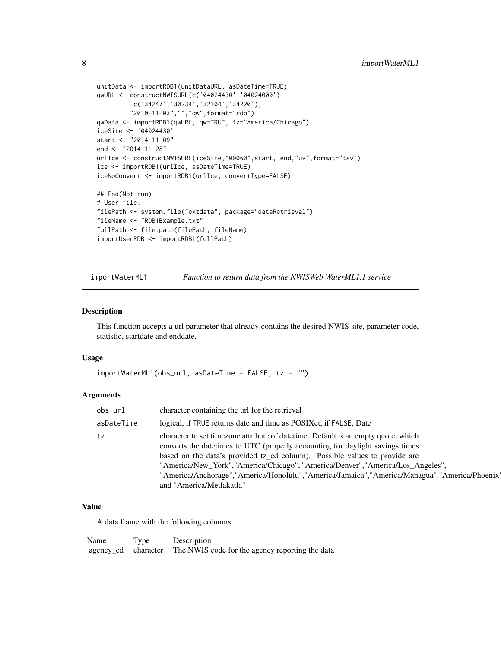```
unitData <- importRDB1(unitDataURL, asDateTime=TRUE)
qwURL <- constructNWISURL(c('04024430','04024000'),
         c('34247','30234','32104','34220'),
         "2010-11-03","","qw",format="rdb")
qwData <- importRDB1(qwURL, qw=TRUE, tz="America/Chicago")
iceSite <- '04024430'
start <- "2014-11-09"
end <- "2014-11-28"
urlIce <- constructNWISURL(iceSite,"00060",start, end,"uv",format="tsv")
ice <- importRDB1(urlIce, asDateTime=TRUE)
iceNoConvert <- importRDB1(urlIce, convertType=FALSE)
## End(Not run)
# User file:
filePath <- system.file("extdata", package="dataRetrieval")
fileName <- "RDB1Example.txt"
fullPath <- file.path(filePath, fileName)
importUserRDB <- importRDB1(fullPath)
```
<span id="page-7-1"></span>importWaterML1 *Function to return data from the NWISWeb WaterML1.1 service*

#### Description

This function accepts a url parameter that already contains the desired NWIS site, parameter code, statistic, startdate and enddate.

#### Usage

```
importWaterML1(obs_url, asDateTime = FALSE, tz = "")
```
#### Arguments

| obs_url    | character containing the url for the retrieval                                                                                                                                                                                                                                                                                                                                                                                                                 |
|------------|----------------------------------------------------------------------------------------------------------------------------------------------------------------------------------------------------------------------------------------------------------------------------------------------------------------------------------------------------------------------------------------------------------------------------------------------------------------|
| asDateTime | logical, if TRUE returns date and time as POSIX ct, if FALSE, Date                                                                                                                                                                                                                                                                                                                                                                                             |
| tz         | character to set timezone attribute of date time. Default is an empty quote, which<br>converts the date times to UTC (properly accounting for daylight savings times<br>based on the data's provided tz_cd column). Possible values to provide are<br>"America/New_York","America/Chicago", "America/Denver","America/Los_Angeles",<br>"America/Anchorage","America/Honolulu","America/Jamaica","America/Managua","America/Phoenix<br>and "America/Metlakatla" |

# Value

A data frame with the following columns:

Name Type Description agency\_cd character The NWIS code for the agency reporting the data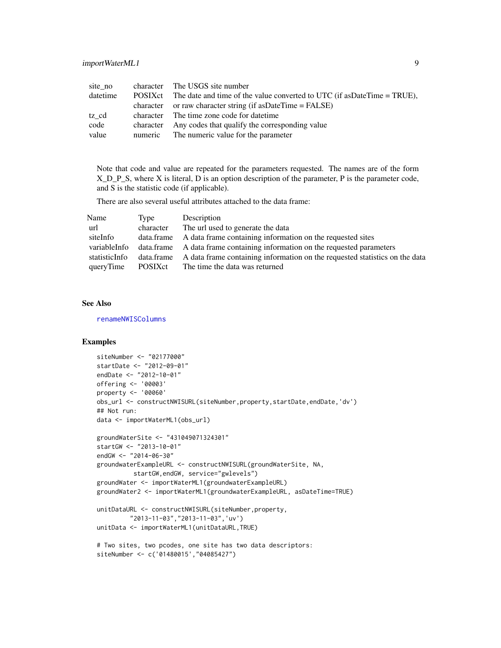<span id="page-8-0"></span>

| site no  |           | character The USGS site number                                                     |
|----------|-----------|------------------------------------------------------------------------------------|
| datetime |           | POSIX ct The date and time of the value converted to UTC (if as Date Time = TRUE), |
|          |           | character or raw character string (if as Date Time $=$ FALSE)                      |
| tz cd    |           | character The time zone code for date time                                         |
| code     | character | Any codes that qualify the corresponding value                                     |
| value    |           | numeric The numeric value for the parameter                                        |

Note that code and value are repeated for the parameters requested. The names are of the form X\_D\_P\_S, where X is literal, D is an option description of the parameter, P is the parameter code, and S is the statistic code (if applicable).

There are also several useful attributes attached to the data frame:

| Name          | Type      | Description                                                                            |
|---------------|-----------|----------------------------------------------------------------------------------------|
| url           | character | The url used to generate the data                                                      |
| siteInfo      |           | data frame A data frame containing information on the requested sites                  |
| variableInfo  |           | data.frame A data frame containing information on the requested parameters             |
| statisticInfo |           | data.frame A data frame containing information on the requested statistics on the data |
| queryTime     | POSIXct   | The time the data was returned                                                         |

#### See Also

[renameNWISColumns](#page-32-1)

# Examples

```
siteNumber <- "02177000"
startDate <- "2012-09-01"
endDate <- "2012-10-01"
offering <- '00003'
property <- '00060'
obs_url <- constructNWISURL(siteNumber, property, startDate, endDate, 'dv')
## Not run:
data <- importWaterML1(obs_url)
groundWaterSite <- "431049071324301"
startGW <- "2013-10-01"
endGW <- "2014-06-30"
groundwaterExampleURL <- constructNWISURL(groundWaterSite, NA,
          startGW,endGW, service="gwlevels")
groundWater <- importWaterML1(groundwaterExampleURL)
groundWater2 <- importWaterML1(groundwaterExampleURL, asDateTime=TRUE)
```

```
unitDataURL <- constructNWISURL(siteNumber,property,
         "2013-11-03","2013-11-03",'uv')
unitData <- importWaterML1(unitDataURL,TRUE)
```

```
# Two sites, two pcodes, one site has two data descriptors:
siteNumber <- c('01480015',"04085427")
```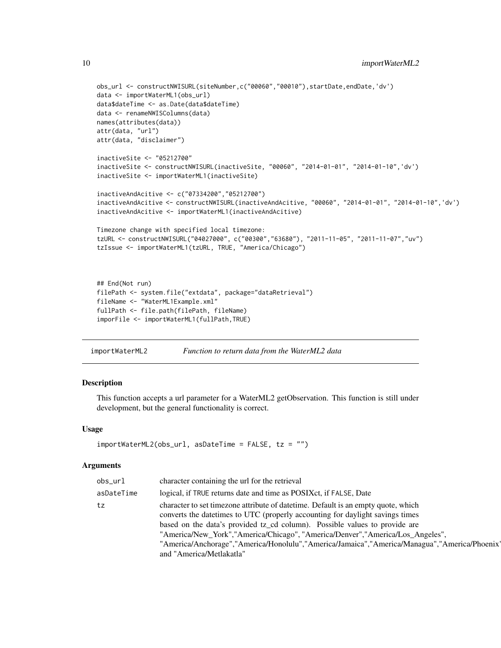```
obs_url <- constructNWISURL(siteNumber,c("00060","00010"),startDate,endDate,'dv')
data <- importWaterML1(obs_url)
data$dateTime <- as.Date(data$dateTime)
data <- renameNWISColumns(data)
names(attributes(data))
attr(data, "url")
attr(data, "disclaimer")
inactiveSite <- "05212700"
inactiveSite <- constructNWISURL(inactiveSite, "00060", "2014-01-01", "2014-01-10",'dv')
inactiveSite <- importWaterML1(inactiveSite)
inactiveAndAcitive <- c("07334200","05212700")
inactiveAndAcitive <- constructNWISURL(inactiveAndAcitive, "00060", "2014-01-01", "2014-01-10",'dv')
inactiveAndAcitive <- importWaterML1(inactiveAndAcitive)
Timezone change with specified local timezone:
tzURL <- constructNWISURL("04027000", c("00300","63680"), "2011-11-05", "2011-11-07","uv")
tzIssue <- importWaterML1(tzURL, TRUE, "America/Chicago")
## End(Not run)
filePath <- system.file("extdata", package="dataRetrieval")
fileName <- "WaterML1Example.xml"
```

```
importWaterML2 Function to return data from the WaterML2 data
```
fullPath <- file.path(filePath, fileName) imporFile <- importWaterML1(fullPath,TRUE)

## Description

This function accepts a url parameter for a WaterML2 getObservation. This function is still under development, but the general functionality is correct.

#### Usage

```
importWaterML2(obs_url, asDateTime = FALSE, tz = "")
```

| obs_url                                                                                                                                                                                                                                                                                                                                                                                                                                                              | character containing the url for the retrieval                    |
|----------------------------------------------------------------------------------------------------------------------------------------------------------------------------------------------------------------------------------------------------------------------------------------------------------------------------------------------------------------------------------------------------------------------------------------------------------------------|-------------------------------------------------------------------|
| asDateTime                                                                                                                                                                                                                                                                                                                                                                                                                                                           | logical, if TRUE returns date and time as POSIXct, if FALSE, Date |
| character to set timezone attribute of date time. Default is an empty quote, which<br>tz<br>converts the date times to UTC (properly accounting for daylight savings times<br>based on the data's provided tz_cd column). Possible values to provide are<br>"America/New_York","America/Chicago", "America/Denver","America/Los_Angeles",<br>"America/Anchorage","America/Honolulu","America/Jamaica","America/Managua","America/Phoenix<br>and "America/Metlakatla" |                                                                   |

<span id="page-9-0"></span>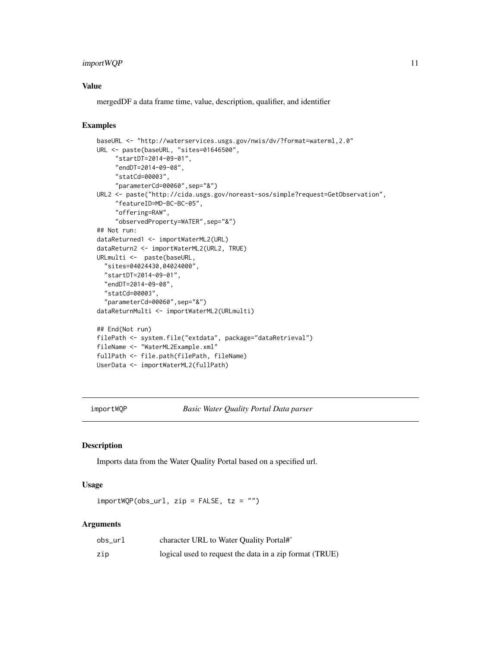#### <span id="page-10-0"></span>import WQP 11

#### Value

mergedDF a data frame time, value, description, qualifier, and identifier

# Examples

```
baseURL <- "http://waterservices.usgs.gov/nwis/dv/?format=waterml,2.0"
URL <- paste(baseURL, "sites=01646500",
     "startDT=2014-09-01",
     "endDT=2014-09-08",
     "statCd=00003",
     "parameterCd=00060",sep="&")
URL2 <- paste("http://cida.usgs.gov/noreast-sos/simple?request=GetObservation",
     "featureID=MD-BC-BC-05",
     "offering=RAW",
     "observedProperty=WATER",sep="&")
## Not run:
dataReturned1 <- importWaterML2(URL)
dataReturn2 <- importWaterML2(URL2, TRUE)
URLmulti <- paste(baseURL,
  "sites=04024430,04024000",
  "startDT=2014-09-01",
  "endDT=2014-09-08",
  "statCd=00003",
  "parameterCd=00060",sep="&")
dataReturnMulti <- importWaterML2(URLmulti)
## End(Not run)
filePath <- system.file("extdata", package="dataRetrieval")
fileName <- "WaterML2Example.xml"
fullPath <- file.path(filePath, fileName)
UserData <- importWaterML2(fullPath)
```
<span id="page-10-1"></span>importWQP *Basic Water Quality Portal Data parser*

# Description

Imports data from the Water Quality Portal based on a specified url.

# Usage

 $importWQP(obsurl, zip = FALSE, tz = "")$ 

| obs url | character URL to Water Quality Portal#'                 |
|---------|---------------------------------------------------------|
| zip     | logical used to request the data in a zip format (TRUE) |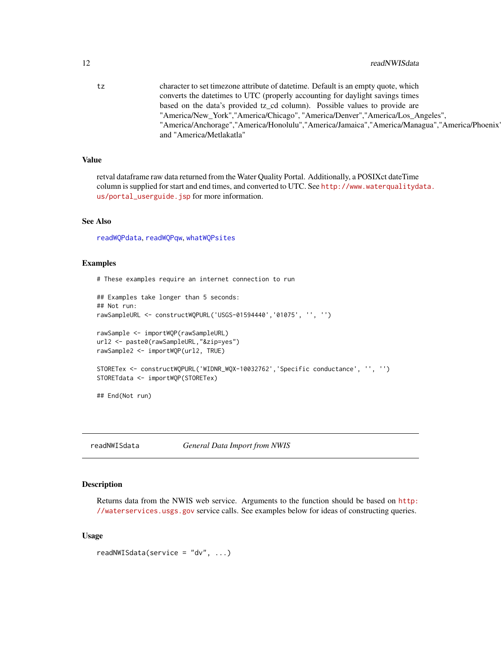<span id="page-11-0"></span>tz character to set timezone attribute of datetime. Default is an empty quote, which converts the datetimes to UTC (properly accounting for daylight savings times based on the data's provided tz\_cd column). Possible values to provide are "America/New\_York","America/Chicago", "America/Denver","America/Los\_Angeles", "America/Anchorage","America/Honolulu","America/Jamaica","America/Managua","America/Phoenix", and "America/Metlakatla"

#### Value

retval dataframe raw data returned from the Water Quality Portal. Additionally, a POSIXct dateTime column is supplied for start and end times, and converted to UTC. See [http://www.waterqualityda](http://www.waterqualitydata.us/portal_userguide.jsp)ta. [us/portal\\_userguide.jsp](http://www.waterqualitydata.us/portal_userguide.jsp) for more information.

# See Also

[readWQPdata](#page-27-1), [readWQPqw](#page-29-1), [whatWQPsites](#page-37-1)

#### Examples

# These examples require an internet connection to run

```
## Examples take longer than 5 seconds:
## Not run:
rawSampleURL <- constructWQPURL('USGS-01594440','01075', '', '')
rawSample <- importWQP(rawSampleURL)
url2 <- paste0(rawSampleURL,"&zip=yes")
rawSample2 <- importWQP(url2, TRUE)
STORETex <- constructWQPURL('WIDNR_WQX-10032762','Specific conductance', '', '')
STORETdata <- importWQP(STORETex)
## End(Not run)
```
readNWISdata *General Data Import from NWIS*

#### Description

Returns data from the NWIS web service. Arguments to the function should be based on [http:](http://waterservices.usgs.gov) [//waterservices.usgs.gov](http://waterservices.usgs.gov) service calls. See examples below for ideas of constructing queries.

#### Usage

```
readNWISdata(service = "dv", ...)
```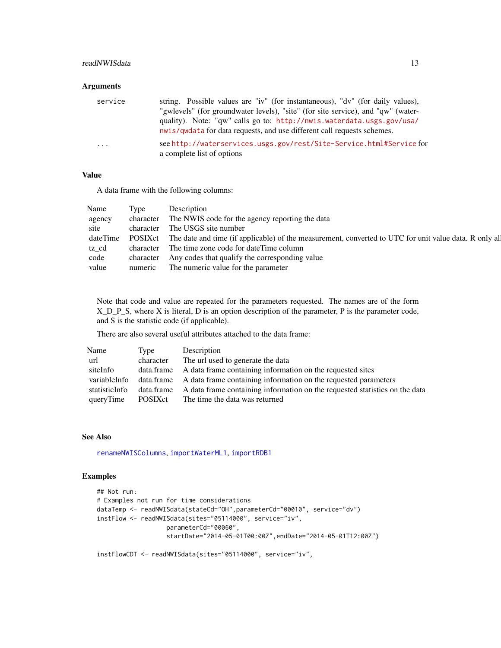#### <span id="page-12-0"></span>readNWISdata 13

#### Arguments

| service                 | string. Possible values are "iv" (for instantaneous), "dv" (for daily values),<br>"gwlevels" (for groundwater levels), "site" (for site service), and "qw" (water-<br>quality). Note: "qw" calls go to: http://nwis.waterdata.usgs.gov/usa/<br>nwis/qwdata for data requests, and use different call requests schemes. |
|-------------------------|------------------------------------------------------------------------------------------------------------------------------------------------------------------------------------------------------------------------------------------------------------------------------------------------------------------------|
| $\cdot$ $\cdot$ $\cdot$ | see http://waterservices.usgs.gov/rest/Site-Service.html#Service for<br>a complete list of options                                                                                                                                                                                                                     |

#### Value

A data frame with the following columns:

| Name   | Type | Description                                                                                                             |
|--------|------|-------------------------------------------------------------------------------------------------------------------------|
| agency |      | character The NWIS code for the agency reporting the data                                                               |
| site   |      | character The USGS site number                                                                                          |
|        |      | dateTime POSIXct The date and time (if applicable) of the measurement, converted to UTC for unit value data. R only all |
| tz cd  |      | character The time zone code for date Time column                                                                       |
| code   |      | character Any codes that qualify the corresponding value                                                                |
| value  |      | numeric The numeric value for the parameter                                                                             |

Note that code and value are repeated for the parameters requested. The names are of the form X\_D\_P\_S, where X is literal, D is an option description of the parameter, P is the parameter code, and S is the statistic code (if applicable).

There are also several useful attributes attached to the data frame:

| Name          | Type      | Description                                                                            |
|---------------|-----------|----------------------------------------------------------------------------------------|
| url           | character | The url used to generate the data                                                      |
| siteInfo      |           | data frame A data frame containing information on the requested sites                  |
| variableInfo  |           | data.frame A data frame containing information on the requested parameters             |
| statisticInfo |           | data frame A data frame containing information on the requested statistics on the data |
| queryTime     |           | POSIX ct The time the data was returned                                                |

# See Also

[renameNWISColumns](#page-32-1), [importWaterML1](#page-7-1), [importRDB1](#page-5-1)

# Examples

```
## Not run:
# Examples not run for time considerations
dataTemp <- readNWISdata(stateCd="OH",parameterCd="00010", service="dv")
instFlow <- readNWISdata(sites="05114000", service="iv",
                  parameterCd="00060",
                   startDate="2014-05-01T00:00Z",endDate="2014-05-01T12:00Z")
```
instFlowCDT <- readNWISdata(sites="05114000", service="iv",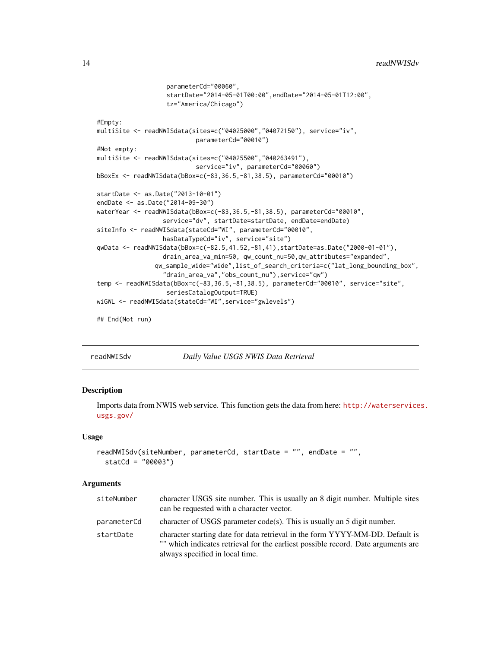```
parameterCd="00060",
                   startDate="2014-05-01T00:00",endDate="2014-05-01T12:00",
                   tz="America/Chicago")
#Empty:
multiSite <- readNWISdata(sites=c("04025000","04072150"), service="iv",
                           parameterCd="00010")
#Not empty:
multiSite <- readNWISdata(sites=c("04025500","040263491"),
                           service="iv", parameterCd="00060")
bBoxEx <- readNWISdata(bBox=c(-83,36.5,-81,38.5), parameterCd="00010")
startDate <- as.Date("2013-10-01")
endDate <- as.Date("2014-09-30")
waterYear <- readNWISdata(bBox=c(-83,36.5,-81,38.5), parameterCd="00010",
                  service="dv", startDate=startDate, endDate=endDate)
siteInfo <- readNWISdata(stateCd="WI", parameterCd="00010",
                  hasDataTypeCd="iv", service="site")
qwData <- readNWISdata(bBox=c(-82.5,41.52,-81,41),startDate=as.Date("2000-01-01"),
                  drain_area_va_min=50, qw_count_nu=50,qw_attributes="expanded",
               qw_sample_wide="wide",list_of_search_criteria=c("lat_long_bounding_box",
                  "drain_area_va","obs_count_nu"),service="qw")
temp <- readNWISdata(bBox=c(-83,36.5,-81,38.5), parameterCd="00010", service="site",
                   seriesCatalogOutput=TRUE)
wiGWL <- readNWISdata(stateCd="WI",service="gwlevels")
## End(Not run)
```
<span id="page-13-1"></span>

readNWISdv *Daily Value USGS NWIS Data Retrieval*

#### Description

Imports data from NWIS web service. This function gets the data from here: [http://waterservice](http://waterservices.usgs.gov/)s. [usgs.gov/](http://waterservices.usgs.gov/)

#### Usage

```
readNWISdv(siteNumber, parameterCd, startDate = "", endDate = "",
  statCd = "00003")
```

| siteNumber  | character USGS site number. This is usually an 8 digit number. Multiple sites<br>can be requested with a character vector.                                                                            |
|-------------|-------------------------------------------------------------------------------------------------------------------------------------------------------------------------------------------------------|
| parameterCd | character of USGS parameter $code(s)$ . This is usually an 5 digit number.                                                                                                                            |
| startDate   | character starting date for data retrieval in the form YYYY-MM-DD. Default is<br>"" which indicates retrieval for the earliest possible record. Date arguments are<br>always specified in local time. |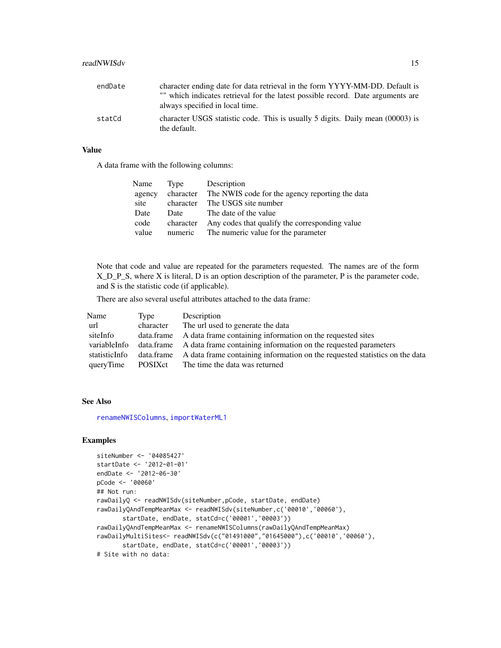<span id="page-14-0"></span>

| endDate | character ending date for data retrieval in the form YYYY-MM-DD. Default is                    |
|---------|------------------------------------------------------------------------------------------------|
|         | "" which indicates retrieval for the latest possible record. Date arguments are                |
|         | always specified in local time.                                                                |
| statCd  | character USGS statistic code. This is usually 5 digits. Daily mean (00003) is<br>the default. |

# Value

A data frame with the following columns:

| Name   | Type      | Description                                     |
|--------|-----------|-------------------------------------------------|
| agency | character | The NWIS code for the agency reporting the data |
| site   | character | The USGS site number                            |
| Date   | Date      | The date of the value                           |
| code   | character | Any codes that qualify the corresponding value  |
| value  | numeric   | The numeric value for the parameter             |

Note that code and value are repeated for the parameters requested. The names are of the form X\_D\_P\_S, where X is literal, D is an option description of the parameter, P is the parameter code, and S is the statistic code (if applicable).

There are also several useful attributes attached to the data frame:

| Name          | Type      | Description                                                                            |
|---------------|-----------|----------------------------------------------------------------------------------------|
| url           | character | The url used to generate the data                                                      |
| siteInfo      |           | data frame A data frame containing information on the requested sites                  |
| variableInfo  |           | data.frame A data frame containing information on the requested parameters             |
| statisticInfo |           | data frame A data frame containing information on the requested statistics on the data |
| queryTime     | POSIXct   | The time the data was returned                                                         |

#### See Also

[renameNWISColumns](#page-32-1), [importWaterML1](#page-7-1)

#### Examples

```
siteNumber <- '04085427'
startDate <- '2012-01-01'
endDate <- '2012-06-30'
pCode <- '00060'
## Not run:
rawDailyQ <- readNWISdv(siteNumber,pCode, startDate, endDate)
rawDailyQAndTempMeanMax <- readNWISdv(siteNumber,c('00010','00060'),
       startDate, endDate, statCd=c('00001','00003'))
rawDailyQAndTempMeanMax <- renameNWISColumns(rawDailyQAndTempMeanMax)
rawDailyMultiSites<- readNWISdv(c("01491000","01645000"),c('00010','00060'),
       startDate, endDate, statCd=c('00001','00003'))
# Site with no data:
```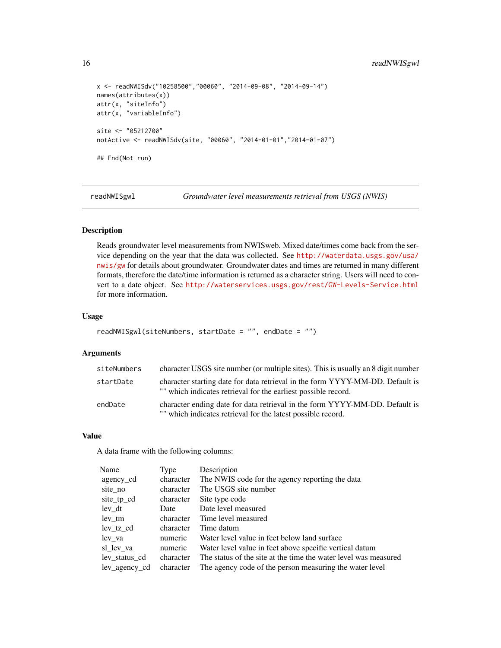```
x <- readNWISdv("10258500","00060", "2014-09-08", "2014-09-14")
names(attributes(x))
attr(x, "siteInfo")
attr(x, "variableInfo")
site <- "05212700"
notActive <- readNWISdv(site, "00060", "2014-01-01","2014-01-07")
## End(Not run)
```
readNWISgwl *Groundwater level measurements retrieval from USGS (NWIS)*

#### Description

Reads groundwater level measurements from NWISweb. Mixed date/times come back from the service depending on the year that the data was collected. See [http://waterdata.usgs.gov/usa/](http://waterdata.usgs.gov/usa/nwis/gw) [nwis/gw](http://waterdata.usgs.gov/usa/nwis/gw) for details about groundwater. Groundwater dates and times are returned in many different formats, therefore the date/time information is returned as a character string. Users will need to convert to a date object. See <http://waterservices.usgs.gov/rest/GW-Levels-Service.html> for more information.

#### Usage

```
readNWISgwl(siteNumbers, startDate = "", endDate = "")
```
#### Arguments

| siteNumbers | character USGS site number (or multiple sites). This is usually an 8 digit number                                                               |
|-------------|-------------------------------------------------------------------------------------------------------------------------------------------------|
| startDate   | character starting date for data retrieval in the form YYYY-MM-DD. Default is<br>"" which indicates retrieval for the earliest possible record. |
| endDate     | character ending date for data retrieval in the form YYYY-MM-DD. Default is<br>"" which indicates retrieval for the latest possible record.     |

# Value

A data frame with the following columns:

| Name          | Type      | Description                                                     |
|---------------|-----------|-----------------------------------------------------------------|
| agency cd     | character | The NWIS code for the agency reporting the data                 |
| site no       | character | The USGS site number                                            |
| site_tp_cd    | character | Site type code                                                  |
| lev dt        | Date      | Date level measured                                             |
| lev tm        | character | Time level measured                                             |
| lev tz cd     | character | Time datum                                                      |
| lev va        | numeric   | Water level value in feet below land surface                    |
| sl lev va     | numeric   | Water level value in feet above specific vertical datum         |
| lev status cd | character | The status of the site at the time the water level was measured |
| lev agency cd | character | The agency code of the person measuring the water level         |

<span id="page-15-0"></span>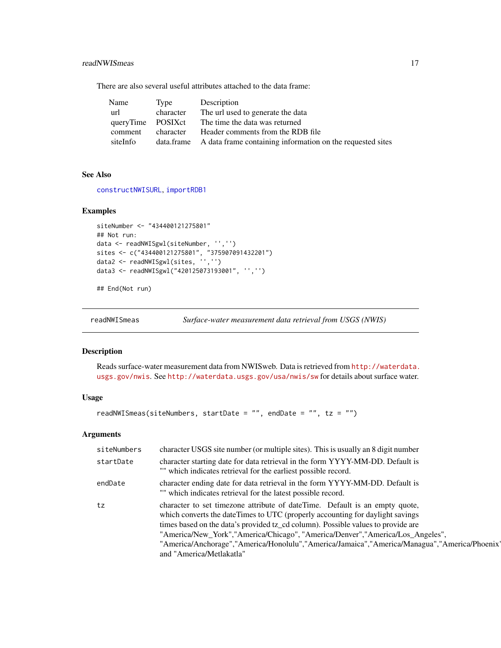#### <span id="page-16-0"></span>readNWISmeas 17

There are also several useful attributes attached to the data frame:

| Name              | Type      | Description                                                           |
|-------------------|-----------|-----------------------------------------------------------------------|
| url               | character | The url used to generate the data                                     |
| queryTime POSIXct |           | The time the data was returned                                        |
| comment           | character | Header comments from the RDB file                                     |
| siteInfo          |           | data.frame A data frame containing information on the requested sites |

#### See Also

[constructNWISURL](#page-2-1), [importRDB1](#page-5-1)

#### Examples

```
siteNumber <- "434400121275801"
## Not run:
data <- readNWISgwl(siteNumber, '','')
sites <- c("434400121275801", "375907091432201")
data2 <- readNWISgwl(sites, '','')
data3 <- readNWISgwl("420125073193001", '','')
```
## End(Not run)

readNWISmeas *Surface-water measurement data retrieval from USGS (NWIS)*

# Description

Reads surface-water measurement data from NWISweb. Data is retrieved from [http://waterdata.](http://waterdata.usgs.gov/nwis) [usgs.gov/nwis](http://waterdata.usgs.gov/nwis). See <http://waterdata.usgs.gov/usa/nwis/sw> for details about surface water.

# Usage

```
readNWISmeas(siteNumbers, startDate = "", endDate = "", tz = "")
```

| siteNumbers | character USGS site number (or multiple sites). This is usually an 8 digit number                                                                                                                                                                                                                                                                                                                                                                              |
|-------------|----------------------------------------------------------------------------------------------------------------------------------------------------------------------------------------------------------------------------------------------------------------------------------------------------------------------------------------------------------------------------------------------------------------------------------------------------------------|
| startDate   | character starting date for data retrieval in the form YYYY-MM-DD. Default is<br>"" which indicates retrieval for the earliest possible record.                                                                                                                                                                                                                                                                                                                |
| endDate     | character ending date for data retrieval in the form YYYY-MM-DD. Default is<br>"" which indicates retrieval for the latest possible record.                                                                                                                                                                                                                                                                                                                    |
| tz          | character to set timezone attribute of date Time. Default is an empty quote,<br>which converts the dateTimes to UTC (properly accounting for daylight savings<br>times based on the data's provided tz_cd column). Possible values to provide are<br>"America/New_York","America/Chicago", "America/Denver","America/Los_Angeles",<br>"America/Anchorage","America/Honolulu","America/Jamaica","America/Managua","America/Phoenix"<br>and "America/Metlakatla" |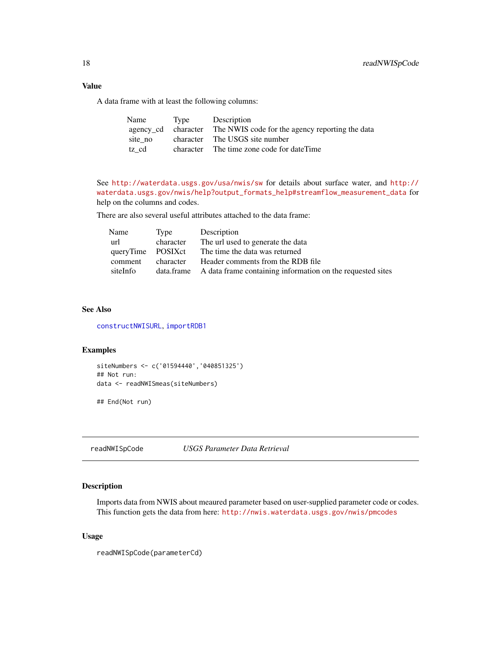A data frame with at least the following columns:

| Name    | Type | Description                                                         |
|---------|------|---------------------------------------------------------------------|
|         |      | agency cd character The NWIS code for the agency reporting the data |
| site no |      | character The USGS site number                                      |
| tz cd   |      | character The time zone code for dateTime                           |

See <http://waterdata.usgs.gov/usa/nwis/sw> for details about surface water, and [http://](http://waterdata.usgs.gov/nwis/help?output_formats_help#streamflow_measurement_data) [waterdata.usgs.gov/nwis/help?output\\_formats\\_help#streamflow\\_measurement\\_data](http://waterdata.usgs.gov/nwis/help?output_formats_help#streamflow_measurement_data) for help on the columns and codes.

There are also several useful attributes attached to the data frame:

| Name              | Type      | Description                                                           |
|-------------------|-----------|-----------------------------------------------------------------------|
| url               | character | The url used to generate the data                                     |
| queryTime POSIXct |           | The time the data was returned                                        |
| comment           | character | Header comments from the RDB file                                     |
| siteInfo          |           | data.frame A data frame containing information on the requested sites |

# See Also

[constructNWISURL](#page-2-1), [importRDB1](#page-5-1)

#### Examples

```
siteNumbers <- c('01594440','040851325')
## Not run:
data <- readNWISmeas(siteNumbers)
```
## End(Not run)

readNWISpCode *USGS Parameter Data Retrieval*

# Description

Imports data from NWIS about meaured parameter based on user-supplied parameter code or codes. This function gets the data from here: <http://nwis.waterdata.usgs.gov/nwis/pmcodes>

# Usage

readNWISpCode(parameterCd)

<span id="page-17-0"></span>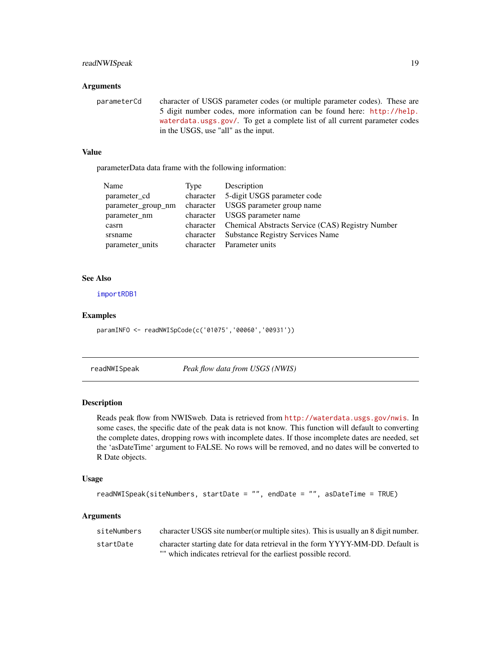# <span id="page-18-0"></span>readNWISpeak 19

#### Arguments

parameterCd character of USGS parameter codes (or multiple parameter codes). These are 5 digit number codes, more information can be found here: [http://help.](http://help.waterdata.usgs.gov/) [waterdata.usgs.gov/](http://help.waterdata.usgs.gov/). To get a complete list of all current parameter codes in the USGS, use "all" as the input.

# Value

parameterData data frame with the following information:

| Name               | Type      | Description                                                |
|--------------------|-----------|------------------------------------------------------------|
| parameter_cd       | character | 5-digit USGS parameter code                                |
| parameter_group_nm | character | USGS parameter group name                                  |
| parameter nm       | character | USGS parameter name                                        |
| casrn              |           | character Chemical Abstracts Service (CAS) Registry Number |
| srsname            | character | <b>Substance Registry Services Name</b>                    |
| parameter_units    | character | Parameter units                                            |

#### See Also

[importRDB1](#page-5-1)

#### Examples

paramINFO <- readNWISpCode(c('01075','00060','00931'))

readNWISpeak *Peak flow data from USGS (NWIS)*

#### Description

Reads peak flow from NWISweb. Data is retrieved from <http://waterdata.usgs.gov/nwis>. In some cases, the specific date of the peak data is not know. This function will default to converting the complete dates, dropping rows with incomplete dates. If those incomplete dates are needed, set the 'asDateTime' argument to FALSE. No rows will be removed, and no dates will be converted to R Date objects.

#### Usage

```
readNWISpeak(siteNumbers, startDate = "", endDate = "", asDateTime = TRUE)
```

| siteNumbers | character USGS site number (or multiple sites). This is usually an 8 digit number. |
|-------------|------------------------------------------------------------------------------------|
| startDate   | character starting date for data retrieval in the form YYYY-MM-DD. Default is      |
|             | "" which indicates retrieval for the earliest possible record.                     |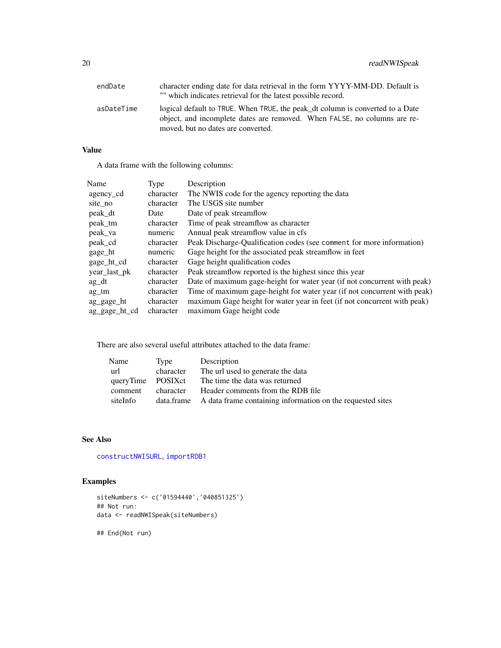<span id="page-19-0"></span>

| endDate    | character ending date for data retrieval in the form YYYY-MM-DD. Default is<br>"" which indicates retrieval for the latest possible record.                                                     |
|------------|-------------------------------------------------------------------------------------------------------------------------------------------------------------------------------------------------|
| asDateTime | logical default to TRUE. When TRUE, the peak_dt column is converted to a Date<br>object, and incomplete dates are removed. When FALSE, no columns are re-<br>moved, but no dates are converted. |

# Value

A data frame with the following columns:

| Name          | Type      | Description                                                              |
|---------------|-----------|--------------------------------------------------------------------------|
| agency cd     | character | The NWIS code for the agency reporting the data                          |
| site_no       | character | The USGS site number                                                     |
| peak_dt       | Date      | Date of peak streamflow                                                  |
| peak tm       | character | Time of peak streamflow as character                                     |
| peak_va       | numeric   | Annual peak streamflow value in cfs                                      |
| peak_cd       | character | Peak Discharge-Qualification codes (see comment for more information)    |
| gage_ht       | numeric   | Gage height for the associated peak streamflow in feet                   |
| gage_ht_cd    | character | Gage height qualification codes                                          |
| year_last_pk  | character | Peak streamflow reported is the highest since this year                  |
| $ag_d$        | character | Date of maximum gage-height for water year (if not concurrent with peak) |
| ag tm         | character | Time of maximum gage-height for water year (if not concurrent with peak) |
| ag_gage_ht    | character | maximum Gage height for water year in feet (if not concurrent with peak) |
| ag_gage_ht_cd | character | maximum Gage height code                                                 |

There are also several useful attributes attached to the data frame:

| Name              | Type      | Description                                                           |
|-------------------|-----------|-----------------------------------------------------------------------|
| url               | character | The url used to generate the data                                     |
| queryTime POSIXct |           | The time the data was returned                                        |
| comment           | character | Header comments from the RDB file                                     |
| siteInfo          |           | data.frame A data frame containing information on the requested sites |

# See Also

[constructNWISURL](#page-2-1), [importRDB1](#page-5-1)

# Examples

```
siteNumbers <- c('01594440','040851325')
## Not run:
data <- readNWISpeak(siteNumbers)
```
## End(Not run)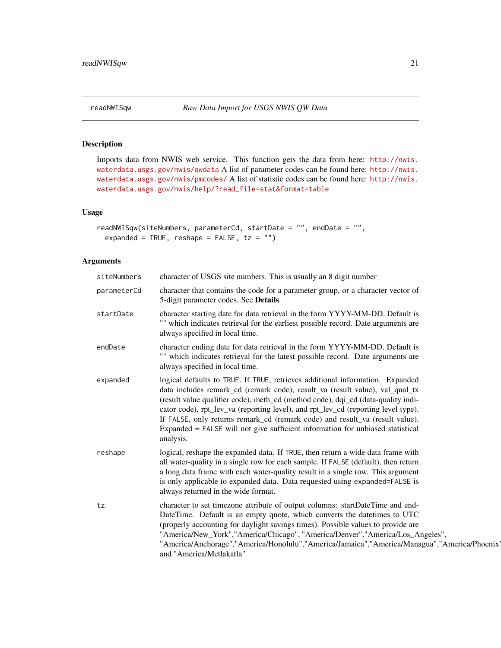# Description

Imports data from NWIS web service. This function gets the data from here: [http://nwis.](http://nwis.waterdata.usgs.gov/nwis/qwdata) [waterdata.usgs.gov/nwis/qwdata](http://nwis.waterdata.usgs.gov/nwis/qwdata) A list of parameter codes can be found here: [http://nwis.](http://nwis.waterdata.usgs.gov/nwis/pmcodes/) [waterdata.usgs.gov/nwis/pmcodes/](http://nwis.waterdata.usgs.gov/nwis/pmcodes/) A list of statistic codes can be found here: [http://nwis.](http://nwis.waterdata.usgs.gov/nwis/help/?read_file=stat&format=table) [waterdata.usgs.gov/nwis/help/?read\\_file=stat&format=table](http://nwis.waterdata.usgs.gov/nwis/help/?read_file=stat&format=table)

# Usage

```
readNWISqw(siteNumbers, parameterCd, startDate = "", endDate = "",
  expanded = TRUE, reshape = FALSE, tz = "")
```

| siteNumbers | character of USGS site numbers. This is usually an 8 digit number                                                                                                                                                                                                                                                                                                                                                                                                                                                     |
|-------------|-----------------------------------------------------------------------------------------------------------------------------------------------------------------------------------------------------------------------------------------------------------------------------------------------------------------------------------------------------------------------------------------------------------------------------------------------------------------------------------------------------------------------|
| parameterCd | character that contains the code for a parameter group, or a character vector of<br>5-digit parameter codes. See Details.                                                                                                                                                                                                                                                                                                                                                                                             |
| startDate   | character starting date for data retrieval in the form YYYY-MM-DD. Default is<br>"" which indicates retrieval for the earliest possible record. Date arguments are<br>always specified in local time.                                                                                                                                                                                                                                                                                                                 |
| endDate     | character ending date for data retrieval in the form YYYY-MM-DD. Default is<br>"" which indicates retrieval for the latest possible record. Date arguments are<br>always specified in local time.                                                                                                                                                                                                                                                                                                                     |
| expanded    | logical defaults to TRUE. If TRUE, retrieves additional information. Expanded<br>data includes remark_cd (remark code), result_va (result value), val_qual_tx<br>(result value qualifier code), meth_cd (method code), dqi_cd (data-quality indi-<br>cator code), rpt_lev_va (reporting level), and rpt_lev_cd (reporting level type).<br>If FALSE, only returns remark_cd (remark code) and result_va (result value).<br>Expanded = FALSE will not give sufficient information for unbiased statistical<br>analysis. |
| reshape     | logical, reshape the expanded data. If TRUE, then return a wide data frame with<br>all water-quality in a single row for each sample. If FALSE (default), then return<br>a long data frame with each water-quality result in a single row. This argument<br>is only applicable to expanded data. Data requested using expanded=FALSE is<br>always returned in the wide format.                                                                                                                                        |
| tz          | character to set timezone attribute of output columns: startDateTime and end-<br>DateTime. Default is an empty quote, which converts the datetimes to UTC<br>(properly accounting for daylight savings times). Possible values to provide are<br>"America/New_York","America/Chicago", "America/Denver","America/Los_Angeles",<br>"America/Anchorage","America/Honolulu","America/Jamaica","America/Managua","America/Phoenix<br>and "America/Metlakatla"                                                             |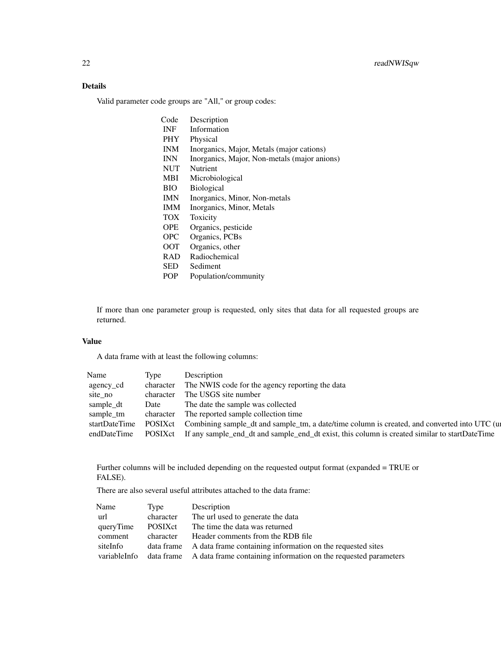# Details

Valid parameter code groups are "All," or group codes:

| Code       | Description                                  |
|------------|----------------------------------------------|
| <b>INF</b> | Information                                  |
| PHY.       | Physical                                     |
| <b>INM</b> | Inorganics, Major, Metals (major cations)    |
| <b>INN</b> | Inorganics, Major, Non-metals (major anions) |
| <b>NUT</b> | Nutrient                                     |
| <b>MBI</b> | Microbiological                              |
| <b>BIO</b> | <b>Biological</b>                            |
| IMN.       | Inorganics, Minor, Non-metals                |
| <b>IMM</b> | Inorganics, Minor, Metals                    |
| <b>TOX</b> | Toxicity                                     |
| <b>OPE</b> | Organics, pesticide                          |
| OPC.       | Organics, PCBs                               |
| <b>OOT</b> | Organics, other                              |
| RAD.       | Radiochemical                                |
| SED        | Sediment                                     |
| POP        | Population/community                         |
|            |                                              |

If more than one parameter group is requested, only sites that data for all requested groups are returned.

# Value

A data frame with at least the following columns:

| Name          | Type      | Description                                                                                   |
|---------------|-----------|-----------------------------------------------------------------------------------------------|
| agency_cd     | character | The NWIS code for the agency reporting the data                                               |
| site no       | character | The USGS site number                                                                          |
| sample_dt     | Date      | The date the sample was collected                                                             |
| sample_tm     | character | The reported sample collection time                                                           |
| startDateTime | POSIXct   | Combining sample_dt and sample_tm, a date/time column is created, and converted into UTC (up  |
| endDateTime   | POSIXct   | If any sample_end_dt and sample_end_dt exist, this column is created similar to startDateTime |

Further columns will be included depending on the requested output format (expanded = TRUE or FALSE).

There are also several useful attributes attached to the data frame:

| Name         | Type      | Description                                                                |
|--------------|-----------|----------------------------------------------------------------------------|
| url          | character | The url used to generate the data                                          |
| queryTime    | POSIXct   | The time the data was returned                                             |
| comment      | character | Header comments from the RDB file                                          |
| siteInfo     |           | data frame A data frame containing information on the requested sites      |
| variableInfo |           | data frame A data frame containing information on the requested parameters |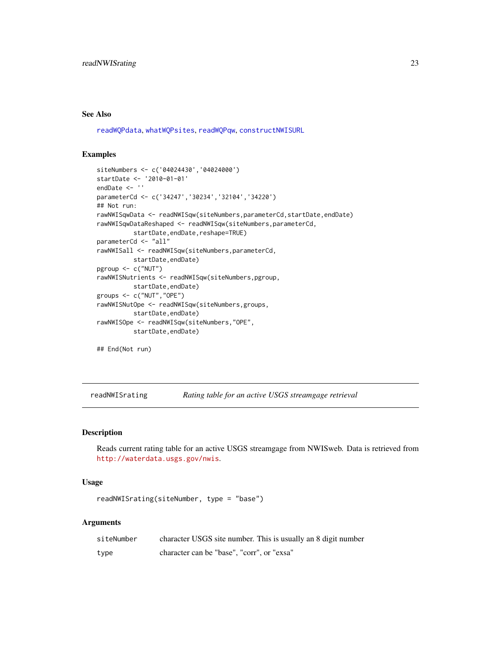#### <span id="page-22-0"></span>See Also

[readWQPdata](#page-27-1), [whatWQPsites](#page-37-1), [readWQPqw](#page-29-1), [constructNWISURL](#page-2-1)

#### Examples

```
siteNumbers <- c('04024430','04024000')
startDate <- '2010-01-01'
endDate <- ''
parameterCd <- c('34247','30234','32104','34220')
## Not run:
rawNWISqwData <- readNWISqw(siteNumbers,parameterCd,startDate,endDate)
rawNWISqwDataReshaped <- readNWISqw(siteNumbers,parameterCd,
          startDate,endDate,reshape=TRUE)
parameterCd <- "all"
rawNWISall <- readNWISqw(siteNumbers,parameterCd,
          startDate,endDate)
pgroup <- c("NUT")
rawNWISNutrients <- readNWISqw(siteNumbers,pgroup,
          startDate,endDate)
groups <- c("NUT","OPE")
rawNWISNutOpe <- readNWISqw(siteNumbers,groups,
          startDate,endDate)
rawNWISOpe <- readNWISqw(siteNumbers,"OPE",
          startDate,endDate)
## End(Not run)
```
readNWISrating *Rating table for an active USGS streamgage retrieval*

#### Description

Reads current rating table for an active USGS streamgage from NWISweb. Data is retrieved from <http://waterdata.usgs.gov/nwis>.

# Usage

```
readNWISrating(siteNumber, type = "base")
```

| siteNumber | character USGS site number. This is usually an 8 digit number |
|------------|---------------------------------------------------------------|
| type       | character can be "base", "corr", or "exsa"                    |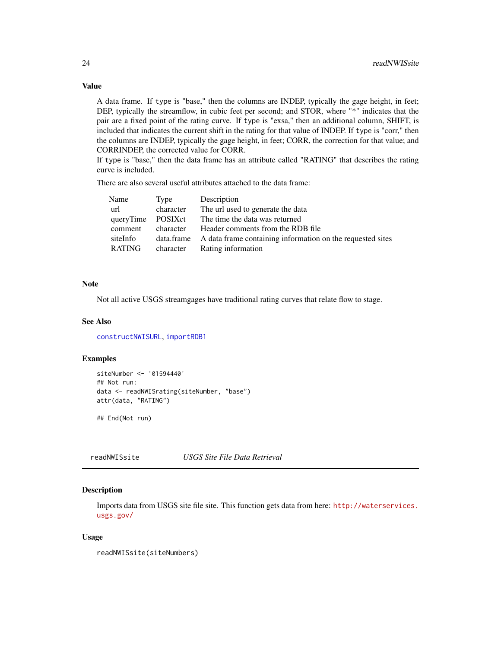# Value

A data frame. If type is "base," then the columns are INDEP, typically the gage height, in feet; DEP, typically the streamflow, in cubic feet per second; and STOR, where "\*" indicates that the pair are a fixed point of the rating curve. If type is "exsa," then an additional column, SHIFT, is included that indicates the current shift in the rating for that value of INDEP. If type is "corr," then the columns are INDEP, typically the gage height, in feet; CORR, the correction for that value; and CORRINDEP, the corrected value for CORR.

If type is "base," then the data frame has an attribute called "RATING" that describes the rating curve is included.

There are also several useful attributes attached to the data frame:

| Name              | Type      | Description                                                           |
|-------------------|-----------|-----------------------------------------------------------------------|
| url               | character | The url used to generate the data                                     |
| queryTime POSIXct |           | The time the data was returned                                        |
| comment           | character | Header comments from the RDB file                                     |
| siteInfo          |           | data.frame A data frame containing information on the requested sites |
| RATING            |           | character Rating information                                          |

# Note

Not all active USGS streamgages have traditional rating curves that relate flow to stage.

#### See Also

[constructNWISURL](#page-2-1), [importRDB1](#page-5-1)

#### Examples

```
siteNumber <- '01594440'
## Not run:
data <- readNWISrating(siteNumber, "base")
attr(data, "RATING")
```
## End(Not run)

readNWISsite *USGS Site File Data Retrieval*

#### Description

Imports data from USGS site file site. This function gets data from here: [http://waterservices.](http://waterservices.usgs.gov/) [usgs.gov/](http://waterservices.usgs.gov/)

#### Usage

```
readNWISsite(siteNumbers)
```
<span id="page-23-0"></span>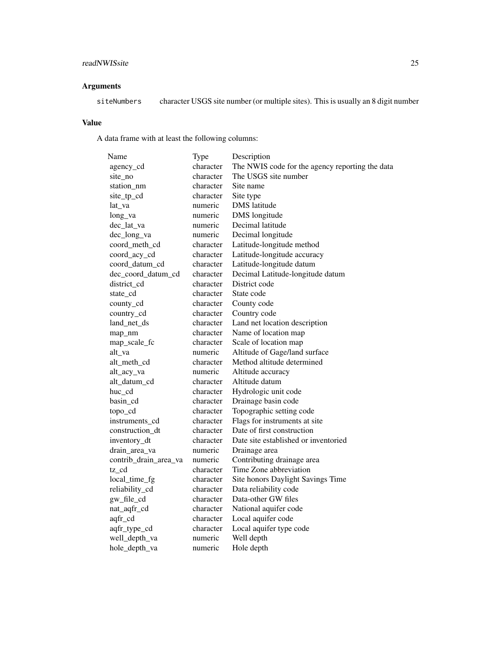# readNWISsite 25

# Arguments

siteNumbers character USGS site number (or multiple sites). This is usually an 8 digit number

# Value

A data frame with at least the following columns:

| Name                  | Type      | Description                                     |
|-----------------------|-----------|-------------------------------------------------|
| agency_cd             | character | The NWIS code for the agency reporting the data |
| site_no               | character | The USGS site number                            |
| station nm            | character | Site name                                       |
| site_tp_cd            | character | Site type                                       |
| lat_va                | numeric   | <b>DMS</b> latitude                             |
| long_va               | numeric   | <b>DMS</b> longitude                            |
| dec_lat_va            | numeric   | Decimal latitude                                |
| dec_long_va           | numeric   | Decimal longitude                               |
| coord_meth_cd         | character | Latitude-longitude method                       |
| coord_acy_cd          | character | Latitude-longitude accuracy                     |
| coord_datum_cd        | character | Latitude-longitude datum                        |
| dec_coord_datum_cd    | character | Decimal Latitude-longitude datum                |
| district_cd           | character | District code                                   |
| state cd              | character | State code                                      |
| county_cd             | character | County code                                     |
| country_cd            | character | Country code                                    |
| land_net_ds           | character | Land net location description                   |
| map_nm                | character | Name of location map                            |
| map_scale_fc          | character | Scale of location map                           |
| alt_va                | numeric   | Altitude of Gage/land surface                   |
| alt_meth_cd           | character | Method altitude determined                      |
| alt_acy_va            | numeric   | Altitude accuracy                               |
| alt_datum_cd          | character | Altitude datum                                  |
| huc_cd                | character | Hydrologic unit code                            |
| basin_cd              | character | Drainage basin code                             |
| topo_cd               | character | Topographic setting code                        |
| instruments_cd        | character | Flags for instruments at site                   |
| construction_dt       | character | Date of first construction                      |
| inventory_dt          | character | Date site established or inventoried            |
| drain_area_va         | numeric   | Drainage area                                   |
| contrib_drain_area_va | numeric   | Contributing drainage area                      |
| tz_cd                 | character | Time Zone abbreviation                          |
| local_time_fg         | character | Site honors Daylight Savings Time               |
| reliability_cd        | character | Data reliability code                           |
| gw_file_cd            | character | Data-other GW files                             |
| nat_aqfr_cd           | character | National aquifer code                           |
| aqfr_cd               | character | Local aquifer code                              |
| aqfr_type_cd          | character | Local aquifer type code                         |
| well_depth_va         | numeric   | Well depth                                      |
| hole_depth_va         | numeric   | Hole depth                                      |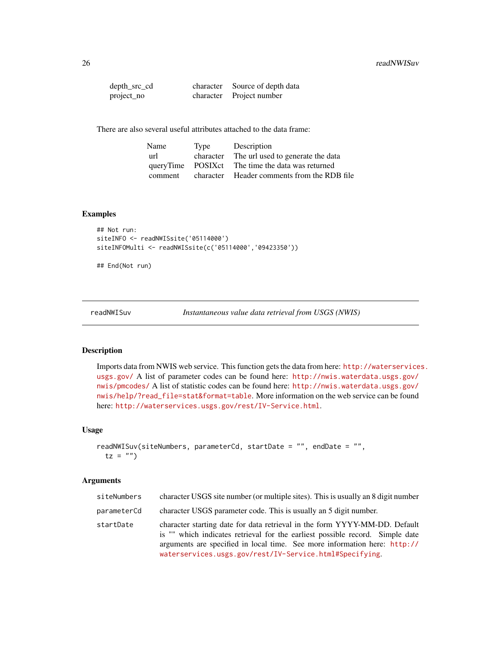<span id="page-25-0"></span>

| depth_src_cd | character Source of depth data |
|--------------|--------------------------------|
| project_no   | character Project number       |

There are also several useful attributes attached to the data frame:

| Name    | Type      | Description                                      |
|---------|-----------|--------------------------------------------------|
| url     | character | The url used to generate the data                |
|         |           | queryTime POSIXct The time the data was returned |
| comment | character | Header comments from the RDB file                |

#### Examples

```
## Not run:
siteINFO <- readNWISsite('05114000')
siteINFOMulti <- readNWISsite(c('05114000','09423350'))
```
## End(Not run)

<span id="page-25-1"></span>readNWISuv *Instantaneous value data retrieval from USGS (NWIS)*

# Description

Imports data from NWIS web service. This function gets the data from here: [http://waterservice](http://waterservices.usgs.gov/)s. [usgs.gov/](http://waterservices.usgs.gov/) A list of parameter codes can be found here: [http://nwis.waterdata.usgs.gov/](http://nwis.waterdata.usgs.gov/nwis/pmcodes/) [nwis/pmcodes/](http://nwis.waterdata.usgs.gov/nwis/pmcodes/) A list of statistic codes can be found here: [http://nwis.waterdata.usgs.gov/](http://nwis.waterdata.usgs.gov/nwis/help/?read_file=stat&format=table) [nwis/help/?read\\_file=stat&format=table](http://nwis.waterdata.usgs.gov/nwis/help/?read_file=stat&format=table). More information on the web service can be found here: <http://waterservices.usgs.gov/rest/IV-Service.html>.

#### Usage

```
readNWISuv(siteNumbers, parameterCd, startDate = "", endDate = "",
 tz = "")
```

| siteNumbers | character USGS site number (or multiple sites). This is usually an 8 digit number                                                                                                                                                                                                                   |
|-------------|-----------------------------------------------------------------------------------------------------------------------------------------------------------------------------------------------------------------------------------------------------------------------------------------------------|
| parameterCd | character USGS parameter code. This is usually an 5 digit number.                                                                                                                                                                                                                                   |
| startDate   | character starting date for data retrieval in the form YYYY-MM-DD. Default<br>is "" which indicates retrieval for the earliest possible record. Simple date<br>arguments are specified in local time. See more information here: http://<br>waterservices.usgs.gov/rest/IV-Service.html#Specifying. |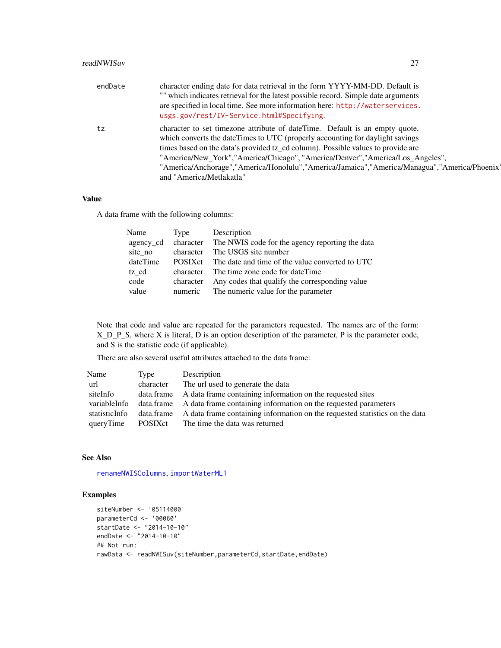<span id="page-26-0"></span>

| endDate | character ending date for data retrieval in the form YYYY-MM-DD. Default is<br>"" which indicates retrieval for the latest possible record. Simple date arguments<br>are specified in local time. See more information here: http://waterservices.<br>usgs.gov/rest/IV-Service.html#Specifying.                                                                                                                                                               |
|---------|---------------------------------------------------------------------------------------------------------------------------------------------------------------------------------------------------------------------------------------------------------------------------------------------------------------------------------------------------------------------------------------------------------------------------------------------------------------|
| tz      | character to set timezone attribute of date Time. Default is an empty quote,<br>which converts the dateTimes to UTC (properly accounting for daylight savings<br>times based on the data's provided tz_cd column). Possible values to provide are<br>"America/New_York","America/Chicago", "America/Denver","America/Los_Angeles",<br>"America/Anchorage","America/Honolulu","America/Jamaica","America/Managua","America/Phoenix<br>and "America/Metlakatla" |

#### Value

A data frame with the following columns:

| Name      | Type      | Description                                               |
|-----------|-----------|-----------------------------------------------------------|
| agency cd |           | character The NWIS code for the agency reporting the data |
| site no   | character | The USGS site number                                      |
| dateTime  | POSIXct   | The date and time of the value converted to UTC           |
| tz cd     | character | The time zone code for dateTime                           |
| code      | character | Any codes that qualify the corresponding value            |
| value     |           | numeric The numeric value for the parameter               |

Note that code and value are repeated for the parameters requested. The names are of the form: X\_D\_P\_S, where X is literal, D is an option description of the parameter, P is the parameter code, and S is the statistic code (if applicable).

There are also several useful attributes attached to the data frame:

| Name          | Type      | Description                                                                            |
|---------------|-----------|----------------------------------------------------------------------------------------|
| url           | character | The url used to generate the data                                                      |
| siteInfo      |           | data.frame A data frame containing information on the requested sites                  |
| variableInfo  |           | data.frame A data frame containing information on the requested parameters             |
| statisticInfo |           | data frame A data frame containing information on the requested statistics on the data |
| queryTime     | POSIXct   | The time the data was returned                                                         |

#### See Also

[renameNWISColumns](#page-32-1), [importWaterML1](#page-7-1)

#### Examples

```
siteNumber <- '05114000'
parameterCd <- '00060'
startDate <- "2014-10-10"
endDate <- "2014-10-10"
## Not run:
rawData <- readNWISuv(siteNumber, parameterCd, startDate, endDate)
```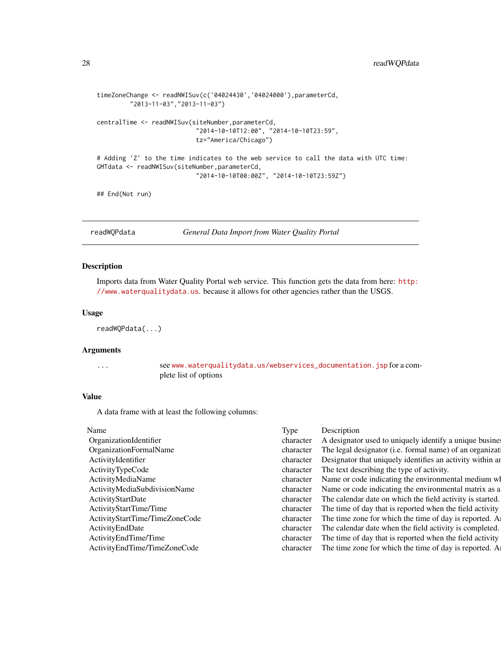```
timeZoneChange <- readNWISuv(c('04024430','04024000'),parameterCd,
         "2013-11-03","2013-11-03")
centralTime <- readNWISuv(siteNumber,parameterCd,
                           "2014-10-10T12:00", "2014-10-10T23:59",
                           tz="America/Chicago")
# Adding 'Z' to the time indicates to the web service to call the data with UTC time:
GMTdata <- readNWISuv(siteNumber,parameterCd,
                           "2014-10-10T00:00Z", "2014-10-10T23:59Z")
## End(Not run)
```
<span id="page-27-1"></span>readWQPdata *General Data Import from Water Quality Portal*

### Description

Imports data from Water Quality Portal web service. This function gets the data from here: [http:](http://www.waterqualitydata.us) [//www.waterqualitydata.us](http://www.waterqualitydata.us). because it allows for other agencies rather than the USGS.

#### Usage

readWQPdata(...)

#### Arguments

... see [www.waterqualitydata.us/webservices\\_documentation.jsp](www.waterqualitydata.us/webservices_documentation.jsp) for a complete list of options

# Value

A data frame with at least the following columns:

| Name                           | Type      | Description                                                |
|--------------------------------|-----------|------------------------------------------------------------|
| OrganizationIdentifier         | character | A designator used to uniquely identify a unique busines    |
| OrganizationFormalName         | character | The legal designator (i.e. formal name) of an organization |
| ActivityIdentifier             | character | Designator that uniquely identifies an activity within an  |
| ActivityTypeCode               | character | The text describing the type of activity.                  |
| ActivityMediaName              | character | Name or code indicating the environmental medium wl        |
| ActivityMediaSubdivisionName   | character | Name or code indicating the environmental matrix as a      |
| ActivityStartDate              | character | The calendar date on which the field activity is started.  |
| ActivityStartTime/Time         | character | The time of day that is reported when the field activity   |
| ActivityStartTime/TimeZoneCode | character | The time zone for which the time of day is reported. A     |
| ActivityEndDate                | character | The calendar date when the field activity is completed.    |
| Activity End Time/Time         | character | The time of day that is reported when the field activity   |
| ActivityEndTime/TimeZoneCode   | character | The time zone for which the time of day is reported. A     |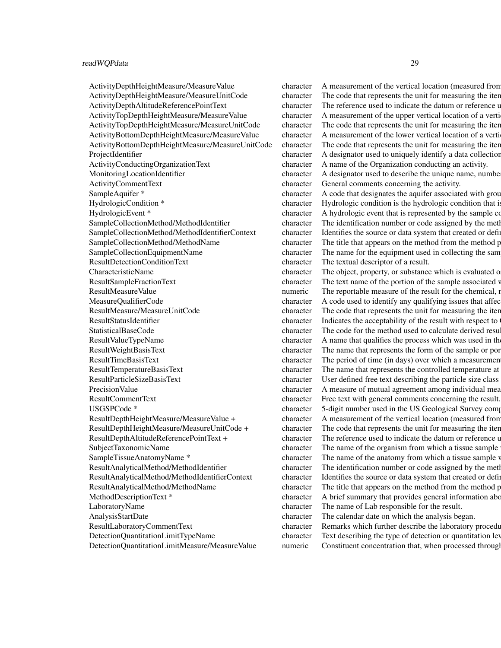#### readWQPdata 29

ActivityCommentText character General comments concerning the activity. ResultDetectionConditionText character The textual descriptor of a result. LaboratoryName character The name of Lab responsible for the result. AnalysisStartDate character The calendar date on which the analysis began.

ActivityDepthHeightMeasure/MeasureValue character A measurement of the vertical location (measured from ActivityDepthHeightMeasure/MeasureUnitCode character The code that represents the unit for measuring the item. ActivityDepthAltitudeReferencePointText character The reference used to indicate the datum or reference used to ActivityTopDepthHeightMeasure/MeasureValue character A measurement of the upper vertical location of a verti-ActivityTopDepthHeightMeasure/MeasureUnitCode character The code that represents the unit for measuring the iter. ActivityBottomDepthHeightMeasure/MeasureValue character A measurement of the lower vertical location of a verti ActivityBottomDepthHeightMeasure/MeasureUnitCode character The code that represents the unit for measuring the iter. ProjectIdentifier character A designator used to uniquely identify a data collection projectIdentifier ActivityConductingOrganizationText character A name of the Organization conducting an activity. MonitoringLocationIdentifier character A designator used to describe the unique name, number, the monocleanism character A designator used to describe the unique name, number SampleAquifer \* character A code that designates the aquifer associated with groundwater sample. HydrologicCondition \* character Hydrologic condition is the hydrologic condition that is HydrologicEvent \* character A hydrologic event that is represented by the sample collected (i.e.  $\frac{1}{2}$ SampleCollectionMethod/MethodIdentifier character The identification number or code assigned by the method publisher. SampleCollectionMethod/MethodIdentifierContext character Identifies the source or data system that created or defined the identifier. SampleCollectionMethod/MethodName character The title that appears on the method from the method publisher. SampleCollectionEquipmentName character The name for the equipment used in collecting the sam CharacteristicName character The object, property, or substance which is evaluated or enumerated measurement, a direct field observation, or substance which is evaluated or by laboratory analysis of material collected in t ResultSampleFractionText character The text name of the portion of the sample associated v ResultMeasureValue numeric The reportable measure of the result for the chemical, is given in the unit of the units stored in ResultMeasure value is given in the units stored in ResultMeasure value in ResultMeasure Value MeasureQualifierCode character A code used to identify any qualifying issues that affect the results. ResultMeasure/MeasureUnitCode character The code that represents the unit for measuring the iter. ResultStatusIdentifier character Indicates the acceptability of the result with respect to StatisticalBaseCode character The code for the method used to calculate derived results. ResultValueTypeName character A name that qualifies the process which was used in the result value TypeName ResultWeightBasisText character The name that represents the form of the sample or portion of the sample or por ResultTimeBasisText character The period of time (in days) over which a measurement was made. For example, BOD. ResultTemperatureBasisText character The name that represents the controlled temperature at  $\Gamma$ ResultParticleSizeBasisText character User defined free text describing the particle size class PrecisionValue character A measure of mutual agreement among individual mea ResultCommentText character Free text with general comments concerning the result. USGSPCode \* character 5-digit number used in the US Geological Survey computerized data system (NWIS), to uniquely identify a specific constituent. In the US Geological Survey computer  $\frac{1}{2}$ ResultDepthHeightMeasure/MeasureValue + character A measurement of the vertical location (measured from a reference point) ResultDepthHeightMeasure/MeasureUnitCode + character The code that represents the unit for measuring the item. ResultDepthAltitudeReferencePointText + character The reference used to indicate the datum or reference used to SubjectTaxonomicName character The name of the organism from which a tissue sample SampleTissueAnatomyName \* character The name of the anatomy from which a tissue sample v ResultAnalyticalMethod/MethodIdentifier character The identification number or code assigned by the method publisher. ResultAnalyticalMethod/MethodIdentifierContext character Identifies the source or data system that created or defined the identifier. ResultAnalyticalMethod/MethodName character The title that appears on the method from the method publisher. MethodDescriptionText \* character A brief summary that provides general information about the method. ResultLaboratoryCommentText character Remarks which further describe the laboratory procedures which produced the result. DetectionQuantitationLimitTypeName character Text describing the type of detection or quantitation level used in the analysis of a characteristic. DetectionQuantitationLimitMeasure/MeasureValue numeric Constituent concentration that, when processed through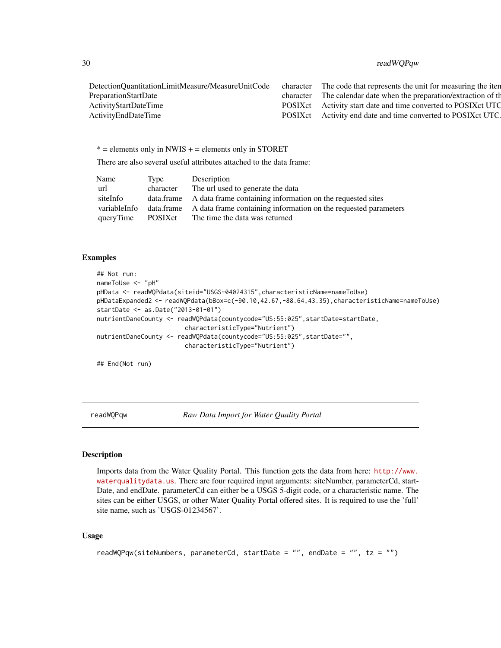# <span id="page-29-0"></span>30 readWQPqw

| DetectionQuantitationLimitMeasure/MeasureUnitCode | character | The code that represents the unit for measuring the iten        |
|---------------------------------------------------|-----------|-----------------------------------------------------------------|
| PreparationStartDate                              | character | The calendar date when the preparation/extraction of the        |
| ActivityStartDateTime                             |           | POSIX ct Activity start date and time converted to POSIX ct UTC |
| ActivityEndDateTime                               |           | POSIX ct Activity end date and time converted to POSIX ct UTC.  |
|                                                   |           |                                                                 |

 $* =$  elements only in NWIS  $+ =$  elements only in STORET

There are also several useful attributes attached to the data frame:

| Name         | Tvpe      | Description                                                                |
|--------------|-----------|----------------------------------------------------------------------------|
| url          | character | The url used to generate the data                                          |
| siteInfo     |           | data.frame A data frame containing information on the requested sites      |
| variableInfo |           | data.frame A data frame containing information on the requested parameters |
| queryTime    | POSIXct   | The time the data was returned                                             |

# Examples

```
## Not run:
nameToUse <- "pH"
pHData <- readWQPdata(siteid="USGS-04024315",characteristicName=nameToUse)
pHDataExpanded2 <- readWQPdata(bBox=c(-90.10,42.67,-88.64,43.35),characteristicName=nameToUse)
startDate <- as.Date("2013-01-01")
nutrientDaneCounty <- readWQPdata(countycode="US:55:025",startDate=startDate,
                        characteristicType="Nutrient")
nutrientDaneCounty <- readWQPdata(countycode="US:55:025",startDate="",
                        characteristicType="Nutrient")
```
## End(Not run)

<span id="page-29-1"></span>readWQPqw *Raw Data Import for Water Quality Portal*

# Description

Imports data from the Water Quality Portal. This function gets the data from here: [http://www.](http://www.waterqualitydata.us) [waterqualitydata.us](http://www.waterqualitydata.us). There are four required input arguments: siteNumber, parameterCd, start-Date, and endDate. parameterCd can either be a USGS 5-digit code, or a characteristic name. The sites can be either USGS, or other Water Quality Portal offered sites. It is required to use the 'full' site name, such as 'USGS-01234567'.

# Usage

```
readWQPqw(siteNumbers, parameterCd, startDate = "", endDate = "", tz = "")
```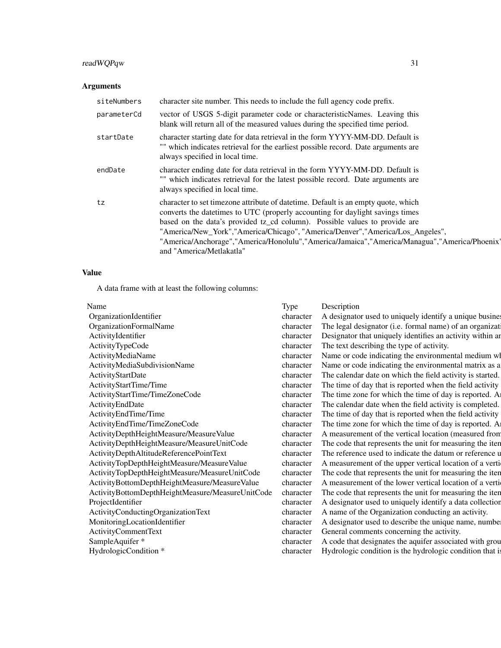# readWQPqw 31

# Arguments

| siteNumbers | character site number. This needs to include the full agency code prefix.                                                                                                                                                                                                                                                                                                                                                                                      |
|-------------|----------------------------------------------------------------------------------------------------------------------------------------------------------------------------------------------------------------------------------------------------------------------------------------------------------------------------------------------------------------------------------------------------------------------------------------------------------------|
| parameterCd | vector of USGS 5-digit parameter code or characteristicNames. Leaving this<br>blank will return all of the measured values during the specified time period.                                                                                                                                                                                                                                                                                                   |
| startDate   | character starting date for data retrieval in the form YYYY-MM-DD. Default is<br>"" which indicates retrieval for the earliest possible record. Date arguments are<br>always specified in local time.                                                                                                                                                                                                                                                          |
| endDate     | character ending date for data retrieval in the form YYYY-MM-DD. Default is<br>"" which indicates retrieval for the latest possible record. Date arguments are<br>always specified in local time.                                                                                                                                                                                                                                                              |
| tz          | character to set timezone attribute of date time. Default is an empty quote, which<br>converts the date times to UTC (properly accounting for daylight savings times<br>based on the data's provided tz_cd column). Possible values to provide are<br>"America/New_York","America/Chicago", "America/Denver","America/Los_Angeles",<br>"America/Anchorage","America/Honolulu","America/Jamaica","America/Managua","America/Phoenix<br>and "America/Metlakatla" |

# Value

A data frame with at least the following columns:

| Name                                             | Type      | Description                                               |
|--------------------------------------------------|-----------|-----------------------------------------------------------|
| OrganizationIdentifier                           | character | A designator used to uniquely identify a unique busines   |
| OrganizationFormalName                           | character | The legal designator (i.e. formal name) of an organizat   |
| ActivityIdentifier                               | character | Designator that uniquely identifies an activity within an |
| ActivityTypeCode                                 | character | The text describing the type of activity.                 |
| ActivityMediaName                                | character | Name or code indicating the environmental medium wl       |
| ActivityMediaSubdivisionName                     | character | Name or code indicating the environmental matrix as a     |
| ActivityStartDate                                | character | The calendar date on which the field activity is started. |
| ActivityStartTime/Time                           | character | The time of day that is reported when the field activity  |
| ActivityStartTime/TimeZoneCode                   | character | The time zone for which the time of day is reported. A    |
| ActivityEndDate                                  | character | The calendar date when the field activity is completed.   |
| ActivityEndTime/Time                             | character | The time of day that is reported when the field activity  |
| ActivityEndTime/TimeZoneCode                     | character | The time zone for which the time of day is reported. A    |
| ActivityDepthHeightMeasure/MeasureValue          | character | measurement of the vertical location (measured from       |
| ActivityDepthHeightMeasure/MeasureUnitCode       | character | The code that represents the unit for measuring the iten  |
| ActivityDepthAltitudeReferencePointText          | character | The reference used to indicate the datum or reference u   |
| ActivityTopDepthHeightMeasure/MeasureValue       | character | A measurement of the upper vertical location of a verti-  |
| ActivityTopDepthHeightMeasure/MeasureUnitCode    | character | The code that represents the unit for measuring the iten  |
| ActivityBottomDepthHeightMeasure/MeasureValue    | character | measurement of the lower vertical location of a verti-    |
| ActivityBottomDepthHeightMeasure/MeasureUnitCode | character | The code that represents the unit for measuring the iten  |
| ProjectIdentifier                                | character | A designator used to uniquely identify a data collection  |
| ActivityConductingOrganizationText               | character | A name of the Organization conducting an activity.        |
| MonitoringLocationIdentifier                     | character | A designator used to describe the unique name, number     |
| ActivityCommentText                              | character | General comments concerning the activity.                 |
| SampleAquifer *                                  | character | A code that designates the aquifer associated with grou   |
| HydrologicCondition *                            |           | Hydrologic condition is the hydrologic condition that is  |
|                                                  |           |                                                           |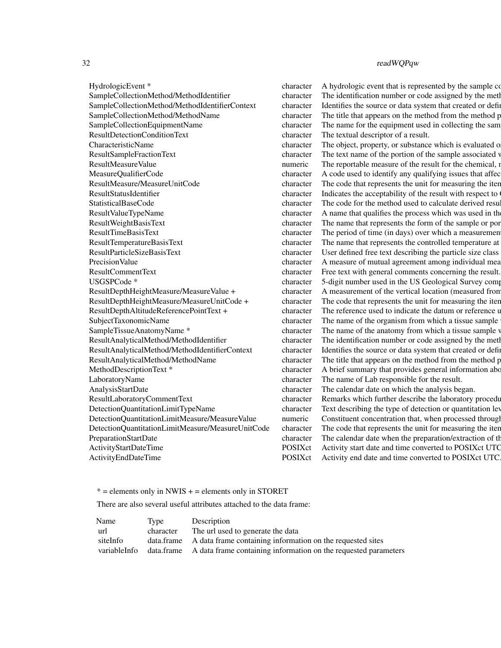HydrologicEvent \* character A hydrologic event that is represented by the sample collected (i.e.  $\frac{1}{2}$ ResultDetectionConditionText character The textual descriptor of a result. LaboratoryName character The name of Lab responsible for the result. AnalysisStartDate character The calendar date on which the analysis began.

# 32 readWQPqw

SampleCollectionMethod/MethodIdentifier character The identification number or code assigned by the method publisher. SampleCollectionMethod/MethodIdentifierContext character Identifies the source or data system that created or defined the identifier. SampleCollectionMethod/MethodName character The title that appears on the method from the method publisher. SampleCollectionEquipmentName character The name for the equipment used in collecting the sam CharacteristicName character The object, property, or substance which is evaluated or enumerated measurement, a direct field observation, or substance which is evaluated or by laboratory analysis of material collected in t ResultSampleFractionText character The text name of the portion of the sample associated v ResultMeasureValue numeric The reportable measure of the result for the chemical, is given in the unit of the units stored in ResultMeasure value is given in the units stored in ResultMeasure value in ResultMeasure Value MeasureQualifierCode character A code used to identify any qualifying issues that affect the results. ResultMeasure/MeasureUnitCode character The code that represents the unit for measuring the iter. ResultStatusIdentifier character Indicates the acceptability of the result with respect to  $\alpha$ StatisticalBaseCode character The code for the method used to calculate derived results. ResultValueTypeName character A name that qualifies the process which was used in the result value TypeName ResultWeightBasisText character The name that represents the form of the sample or portion of the sample or por ResultTimeBasisText character The period of time (in days) over which a measurement was made. For example, BOD. ResultTemperatureBasisText character The name that represents the controlled temperature at  $R$ ResultParticleSizeBasisText character User defined free text describing the particle size class PrecisionValue character A measure of mutual agreement among individual mea ResultCommentText character Free text with general comments concerning the result. USGSPCode \* character 5-digit number used in the US Geological Survey computerized data system (NWIS), to uniquely information System (NWIS), to uniquely identify a specific constraint. The US Geological Survey computerize ResultDepthHeightMeasure/MeasureValue + character A measurement of the vertical location (measured from a reference point) and reference points. ResultDepthHeightMeasure/MeasureUnitCode + character The code that represents the unit for measuring the item. ResultDepthAltitudeReferencePointText + character The reference used to indicate the datum or reference used to SubjectTaxonomicName character The name of the organism from which a tissue sample SampleTissueAnatomyName \* character The name of the anatomy from which a tissue sample v ResultAnalyticalMethod/MethodIdentifier character The identification number or code assigned by the method publisher. ResultAnalyticalMethod/MethodIdentifierContext character Identifies the source or data system that created or defined the identifier. ResultAnalyticalMethod/MethodName character The title that appears on the method from the method publisher. MethodDescriptionText \* character A brief summary that provides general information about the method. ResultLaboratoryCommentText character Remarks which further describe the laboratory procedures which produced the result. DetectionQuantitationLimitTypeName character Text describing the type of detection or quantitation level used in the analysis of a characteristic. DetectionQuantitationLimitMeasure/MeasureValue numeric Constituent concentration that, when processed through DetectionQuantitationLimitMeasure/MeasureUnitCode character The code that represents the unit for measuring the item. PreparationStartDate character The calendar date when the preparation/extraction of the sample for analysis began. ActivityStartDateTime POSIXct Activity start date and time converted to POSIXct UTC. ActivityEndDateTime POSIXct Activity end date and time converted to POSIXct UTC.

 $* =$  elements only in NWIS  $+ =$  elements only in STORET

There are also several useful attributes attached to the data frame:

| Name         | Type      | Description                                                                |
|--------------|-----------|----------------------------------------------------------------------------|
| url          | character | The url used to generate the data                                          |
| siteInfo     |           | data frame A data frame containing information on the requested sites      |
| variableInfo |           | data.frame A data frame containing information on the requested parameters |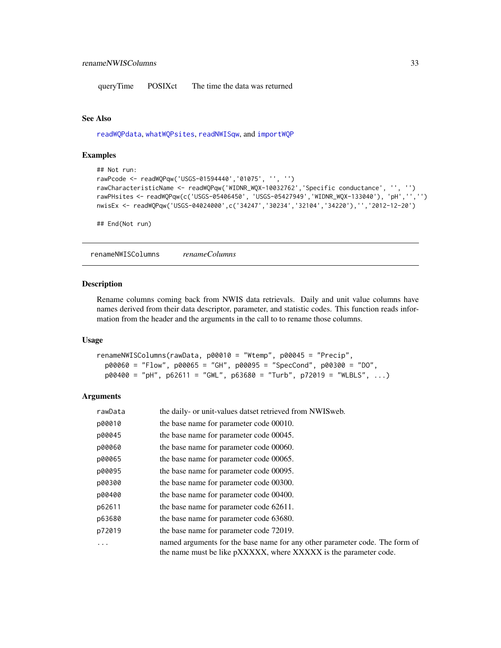<span id="page-32-0"></span>queryTime POSIXct The time the data was returned

#### See Also

[readWQPdata](#page-27-1), [whatWQPsites](#page-37-1), [readNWISqw](#page-20-1), and [importWQP](#page-10-1)

#### Examples

```
## Not run:
rawPcode <- readWQPqw('USGS-01594440','01075', '', '')
rawCharacteristicName <- readWQPqw('WIDNR_WQX-10032762','Specific conductance', '', '')
rawPHsites <- readWQPqw(c('USGS-05406450', 'USGS-05427949','WIDNR_WQX-133040'), 'pH','','')
nwisEx <- readWQPqw('USGS-04024000',c('34247','30234','32104','34220'),'','2012-12-20')
```
## End(Not run)

<span id="page-32-1"></span>renameNWISColumns *renameColumns*

# Description

Rename columns coming back from NWIS data retrievals. Daily and unit value columns have names derived from their data descriptor, parameter, and statistic codes. This function reads information from the header and the arguments in the call to to rename those columns.

#### Usage

```
renameNWISColumns(rawData, p00010 = "Wtemp", p00045 = "Precip",
 p00060 = "Flow", p00065 = "GH", p00095 = "SpecCond", p00300 = "DO",
 p00400 = "pH", p62611 = "GWL", p63680 = "Turb", p72019 = "WLELS", ...)
```

| rawData | the daily- or unit-values datset retrieved from NWIS web.                                                                                       |
|---------|-------------------------------------------------------------------------------------------------------------------------------------------------|
| p00010  | the base name for parameter code 00010.                                                                                                         |
| p00045  | the base name for parameter code 00045.                                                                                                         |
| p00060  | the base name for parameter code 00060.                                                                                                         |
| p00065  | the base name for parameter code 00065.                                                                                                         |
| p00095  | the base name for parameter code 00095.                                                                                                         |
| p00300  | the base name for parameter code 00300.                                                                                                         |
| p00400  | the base name for parameter code 00400.                                                                                                         |
| p62611  | the base name for parameter code 62611.                                                                                                         |
| p63680  | the base name for parameter code 63680.                                                                                                         |
| p72019  | the base name for parameter code 72019.                                                                                                         |
|         | named arguments for the base name for any other parameter code. The form of<br>the name must be like pXXXXX, where XXXXX is the parameter code. |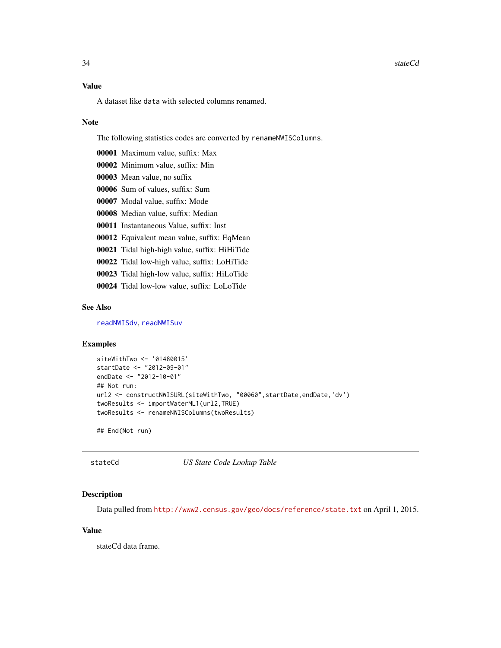#### <span id="page-33-0"></span>34 stateCd

# Value

A dataset like data with selected columns renamed.

#### Note

The following statistics codes are converted by renameNWISColumns.

- 00001 Maximum value, suffix: Max
- 00002 Minimum value, suffix: Min
- 00003 Mean value, no suffix
- 00006 Sum of values, suffix: Sum
- 00007 Modal value, suffix: Mode
- 00008 Median value, suffix: Median
- 00011 Instantaneous Value, suffix: Inst
- 00012 Equivalent mean value, suffix: EqMean
- 00021 Tidal high-high value, suffix: HiHiTide
- 00022 Tidal low-high value, suffix: LoHiTide
- 00023 Tidal high-low value, suffix: HiLoTide
- 00024 Tidal low-low value, suffix: LoLoTide

# See Also

[readNWISdv](#page-13-1), [readNWISuv](#page-25-1)

# Examples

```
siteWithTwo <- '01480015'
startDate <- "2012-09-01"
endDate <- "2012-10-01"
## Not run:
url2 <- constructNWISURL(siteWithTwo, "00060", startDate, endDate, 'dv')
twoResults <- importWaterML1(url2,TRUE)
twoResults <- renameNWISColumns(twoResults)
```
## End(Not run)

stateCd *US State Code Lookup Table*

#### Description

Data pulled from <http://www2.census.gov/geo/docs/reference/state.txt> on April 1, 2015.

#### Value

stateCd data frame.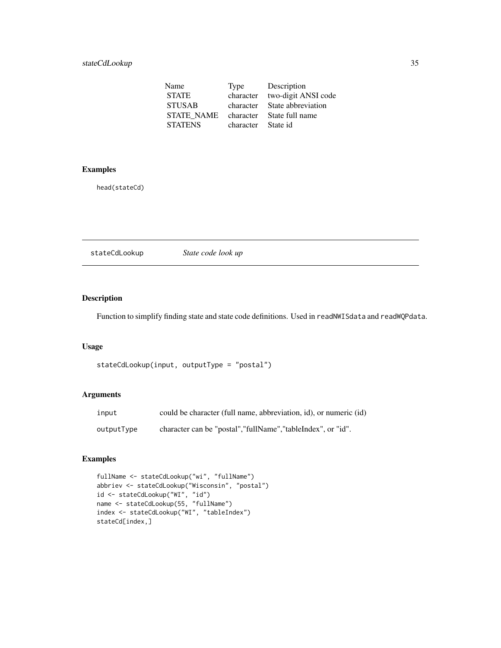<span id="page-34-0"></span>

| Name              | Type      | Description         |
|-------------------|-----------|---------------------|
| <b>STATE</b>      | character | two-digit ANSI code |
| <b>STUSAB</b>     | character | State abbreviation  |
| <b>STATE NAME</b> | character | State full name     |
| <b>STATENS</b>    | character | State id            |

# Examples

head(stateCd)

| stateCdLookup | State code look up |  |  |
|---------------|--------------------|--|--|
|---------------|--------------------|--|--|

# Description

Function to simplify finding state and state code definitions. Used in readNWISdata and readWQPdata.

# Usage

```
stateCdLookup(input, outputType = "postal")
```
# Arguments

| input      | could be character (full name, abbreviation, id), or numeric (id) |
|------------|-------------------------------------------------------------------|
| outputType | character can be "postal", "fullName", "tableIndex", or "id".     |

# Examples

```
fullName <- stateCdLookup("wi", "fullName")
abbriev <- stateCdLookup("Wisconsin", "postal")
id <- stateCdLookup("WI", "id")
name <- stateCdLookup(55, "fullName")
index <- stateCdLookup("WI", "tableIndex")
stateCd[index,]
```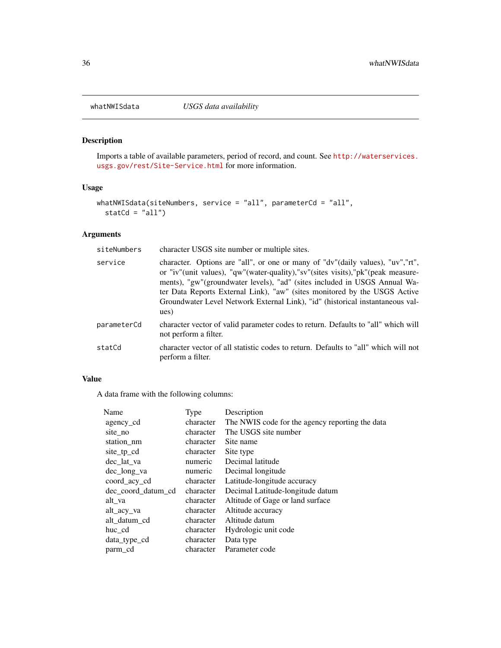# Description

Imports a table of available parameters, period of record, and count. See [http://waterservices.](http://waterservices.usgs.gov/rest/Site-Service.html) [usgs.gov/rest/Site-Service.html](http://waterservices.usgs.gov/rest/Site-Service.html) for more information.

#### Usage

```
whatNWISdata(siteNumbers, service = "all", parameterCd = "all",
  statCd = "all")
```
# Arguments

| siteNumbers | character USGS site number or multiple sites.                                                                                                                                                                                                                                                                                                                                                                          |
|-------------|------------------------------------------------------------------------------------------------------------------------------------------------------------------------------------------------------------------------------------------------------------------------------------------------------------------------------------------------------------------------------------------------------------------------|
| service     | character. Options are "all", or one or many of "dv"(daily values), "uv","rt",<br>or "iv"(unit values), "qw"(water-quality), "sv"(sites visits), "pk"(peak measure-<br>ments), "gw"(groundwater levels), "ad" (sites included in USGS Annual Wa-<br>ter Data Reports External Link), "aw" (sites monitored by the USGS Active<br>Groundwater Level Network External Link), "id" (historical instantaneous val-<br>ues) |
| parameterCd | character vector of valid parameter codes to return. Defaults to "all" which will<br>not perform a filter.                                                                                                                                                                                                                                                                                                             |
| statCd      | character vector of all statistic codes to return. Defaults to "all" which will not<br>perform a filter.                                                                                                                                                                                                                                                                                                               |

# Value

A data frame with the following columns:

| Type      | Description                                     |
|-----------|-------------------------------------------------|
| character | The NWIS code for the agency reporting the data |
| character | The USGS site number                            |
| character | Site name                                       |
| character | Site type                                       |
| numeric   | Decimal latitude                                |
| numeric   | Decimal longitude                               |
| character | Latitude-longitude accuracy                     |
| character | Decimal Latitude-longitude datum                |
| character | Altitude of Gage or land surface                |
| character | Altitude accuracy                               |
| character | Altitude datum                                  |
| character | Hydrologic unit code                            |
| character | Data type                                       |
| character | Parameter code                                  |
|           |                                                 |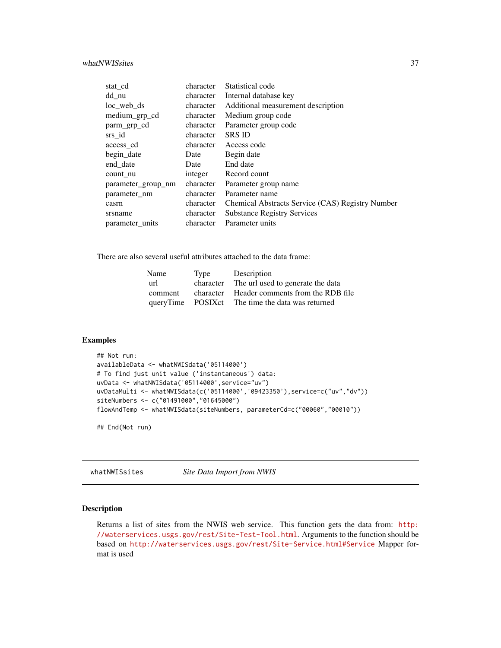#### <span id="page-36-0"></span>whatNWISsites 37

| stat cd            | character | Statistical code                                 |
|--------------------|-----------|--------------------------------------------------|
| dd_nu              | character | Internal database key                            |
| $loc$ web $ds$     | character | Additional measurement description               |
| medium_grp_cd      | character | Medium group code                                |
| parm_grp_cd        | character | Parameter group code                             |
| srs_id             | character | <b>SRS ID</b>                                    |
| access_cd          | character | Access code                                      |
| begin_date         | Date      | Begin date                                       |
| end_date           | Date      | End date                                         |
| count nu           | integer   | Record count                                     |
| parameter group nm | character | Parameter group name                             |
| parameter nm       | character | Parameter name                                   |
| casrn              | character | Chemical Abstracts Service (CAS) Registry Number |
| srsname            | character | <b>Substance Registry Services</b>               |
| parameter units    | character | Parameter units                                  |

There are also several useful attributes attached to the data frame:

| Type | Description                                       |
|------|---------------------------------------------------|
|      | character The url used to generate the data       |
|      | character Header comments from the RDB file       |
|      | queryTime POSIX ct The time the data was returned |
|      |                                                   |

# Examples

```
## Not run:
availableData <- whatNWISdata('05114000')
# To find just unit value ('instantaneous') data:
uvData <- whatNWISdata('05114000',service="uv")
uvDataMulti <- whatNWISdata(c('05114000','09423350'),service=c("uv","dv"))
siteNumbers <- c("01491000","01645000")
flowAndTemp <- whatNWISdata(siteNumbers, parameterCd=c("00060","00010"))
```
## End(Not run)

whatNWISsites *Site Data Import from NWIS*

# Description

Returns a list of sites from the NWIS web service. This function gets the data from: [http:](http://waterservices.usgs.gov/rest/Site-Test-Tool.html) [//waterservices.usgs.gov/rest/Site-Test-Tool.html](http://waterservices.usgs.gov/rest/Site-Test-Tool.html). Arguments to the function should be based on <http://waterservices.usgs.gov/rest/Site-Service.html#Service> Mapper format is used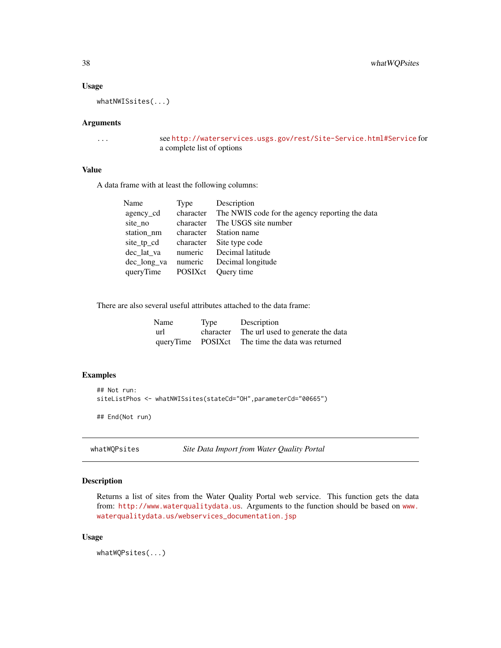# Usage

whatNWISsites(...)

#### Arguments

... see <http://waterservices.usgs.gov/rest/Site-Service.html#Service> for a complete list of options

### Value

A data frame with at least the following columns:

| Type      | Description                                               |
|-----------|-----------------------------------------------------------|
|           | character The NWIS code for the agency reporting the data |
| character | The USGS site number                                      |
| character | Station name                                              |
| character | Site type code                                            |
| numeric   | Decimal latitude                                          |
| numeric   | Decimal longitude                                         |
| POSIXct   | Ouery time                                                |
|           |                                                           |

There are also several useful attributes attached to the data frame:

| Name | Type | Description                                       |
|------|------|---------------------------------------------------|
| url  |      | character The url used to generate the data       |
|      |      | queryTime POSIX ct The time the data was returned |

#### Examples

```
## Not run:
siteListPhos <- whatNWISsites(stateCd="OH",parameterCd="00665")
## End(Not run)
```
<span id="page-37-1"></span>whatWQPsites *Site Data Import from Water Quality Portal*

# Description

Returns a list of sites from the Water Quality Portal web service. This function gets the data from: <http://www.waterqualitydata.us>. Arguments to the function should be based on [www.](www.waterqualitydata.us/webservices_documentation.jsp) [waterqualitydata.us/webservices\\_documentation.jsp](www.waterqualitydata.us/webservices_documentation.jsp)

#### Usage

whatWQPsites(...)

<span id="page-37-0"></span>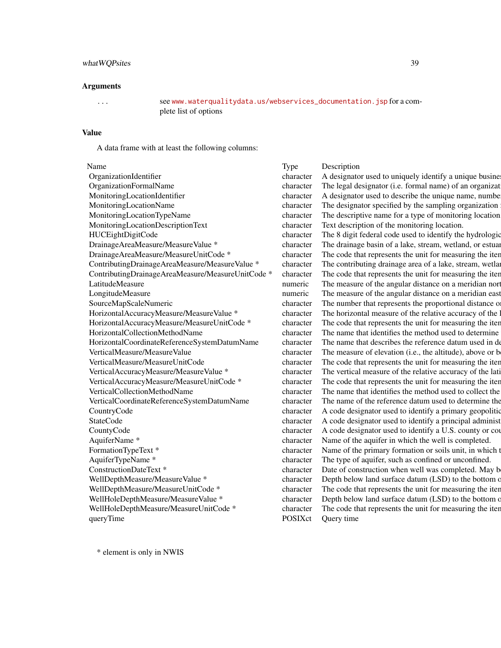#### whatWQPsites 39

#### Arguments

... see [www.waterqualitydata.us/webservices\\_documentation.jsp](www.waterqualitydata.us/webservices_documentation.jsp) for a complete list of options

#### Value

A data frame with at least the following columns:

| Name                                              | <b>Type</b> |
|---------------------------------------------------|-------------|
| OrganizationIdentifier                            | charact     |
| OrganizationFormalName                            | charact     |
| MonitoringLocationIdentifier                      | charact     |
| MonitoringLocationName                            | charact     |
| MonitoringLocationTypeName                        | charact     |
| MonitoringLocationDescriptionText                 | charact     |
| HUCEightDigitCode                                 | charact     |
| DrainageAreaMeasure/MeasureValue *                | charact     |
| DrainageAreaMeasure/MeasureUnitCode *             | charact     |
| ContributingDrainageAreaMeasure/MeasureValue *    | charact     |
| ContributingDrainageAreaMeasure/MeasureUnitCode * | charact     |
| LatitudeMeasure                                   | numeri      |
| LongitudeMeasure                                  | numeri      |
| SourceMapScaleNumeric                             | charact     |
| HorizontalAccuracyMeasure/MeasureValue *          | charact     |
| HorizontalAccuracyMeasure/MeasureUnitCode *       | charact     |
| HorizontalCollectionMethodName                    | charact     |
| HorizontalCoordinateReferenceSystemDatumName      | charact     |
| VerticalMeasure/MeasureValue                      | charact     |
| VerticalMeasure/MeasureUnitCode                   | charact     |
| VerticalAccuracyMeasure/MeasureValue *            | charact     |
| VerticalAccuracyMeasure/MeasureUnitCode *         | charact     |
| VerticalCollectionMethodName                      | charact     |
| VerticalCoordinateReferenceSystemDatumName        | charact     |
| CountryCode                                       | charact     |
| <b>StateCode</b>                                  | charact     |
| CountyCode                                        | charact     |
| AquiferName *                                     | charact     |
| FormationTypeText *                               | charact     |
| AquiferTypeName *                                 | charact     |
| ConstructionDateText *                            | charact     |
| WellDepthMeasure/MeasureValue *                   | charact     |
| WellDepthMeasure/MeasureUnitCode *                | charact     |
| WellHoleDepthMeasure/MeasureValue *               |             |
| WellHoleDepthMeasure/MeasureUnitCode *            |             |
| queryTime                                         |             |

Description er A designator used to uniquely identify a unique busine Exer The legal designator (i.e. formal name) of an organization. Let A designator used to describe the unique name, number, code assignator used to describe the unique name, number er The designator specified by the sampling organization er The descriptive name for a type of monitoring location. er Text description of the monitoring location. er The 8 digit federal code used to identify the hydrologic er The drainage basin of a lake, stream, wetland, or estuare Execution-Measurement that represents the unit for measuring the item. er The contributing drainage area of a lake, stream, wetlar Eur The code that represents the unit for measuring the iter. c The measure of the angular distance on a meridian nor c The measure of the angular distance on a meridian east Eumerapore The number that represents the proportional distance on the ground for  $\alpha$ er The horizontal measure of the relative accuracy of the er The code that represents the unit for measuring the iter. er The name that identifies the method used to determine er The name that describes the reference datum used in determining latitude and longitude and longitude and lo Fer The measure of elevation (i.e., the altitude), above or below a reference datum. Measure Figure The code that represents the unit for measuring the item. Free tertical measure of the relative accuracy of the latitude and longitude coordinates. The vertical measure of the units stored in Vertical Free The code that represents the unit for measuring the item. Figure The name that identifies the method used to collect the Fer The name of the reference datum used to determine the Eur A code designator used to identify a primary geopolitic Eur A code designator used to identify a principal administrative subseterative subseterative subseterative sub Eur A code designator used to identify a U.S. county or count er Name of the aquifer in which the well is completed. Formation or soils unit, in which the Primary formation or soils unit, in which the well is completed. er The type of aquifer, such as confined or unconfined. er Date of construction when well was completed. May b er bepth below land surface datum (LSD) to the bottom on completion on completion of Depth below land Eur The code that represents the unit for measuring the iter. Filther Depth below land surface datum (LSD) to the bottom of the units stored in the units stored in the units stored in the units stored in WellHoleDepth Measure er The code that represents the unit for measuring the iter. ct Ouery time

\* element is only in NWIS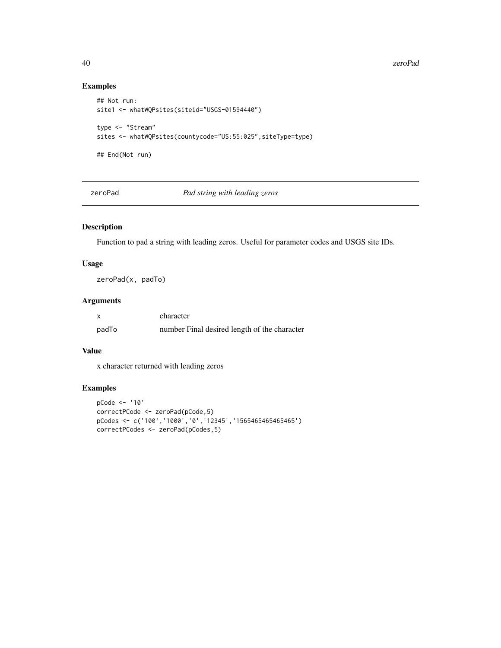#### <span id="page-39-0"></span>40 zeroPad

# Examples

```
## Not run:
site1 <- whatWQPsites(siteid="USGS-01594440")
type <- "Stream"
sites <- whatWQPsites(countycode="US:55:025",siteType=type)
## End(Not run)
```
zeroPad *Pad string with leading zeros*

# Description

Function to pad a string with leading zeros. Useful for parameter codes and USGS site IDs.

#### Usage

zeroPad(x, padTo)

# Arguments

| x     | character                                    |
|-------|----------------------------------------------|
| padTo | number Final desired length of the character |

# Value

x character returned with leading zeros

# Examples

```
pCode <- '10'
correctPCode <- zeroPad(pCode,5)
pCodes <- c('100','1000','0','12345','1565465465465465')
correctPCodes <- zeroPad(pCodes,5)
```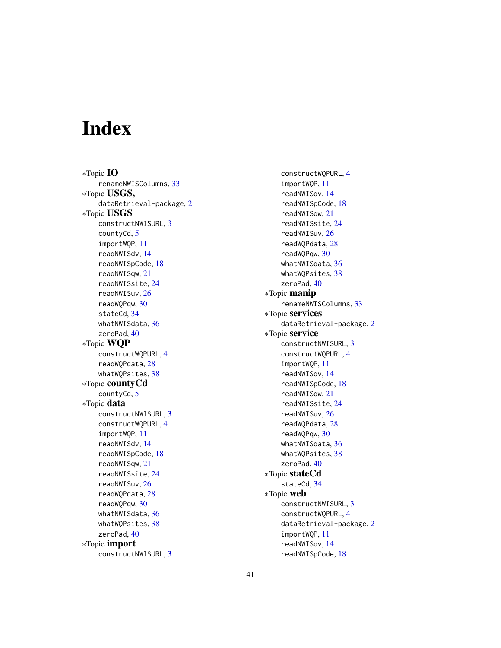# <span id="page-40-0"></span>Index

∗Topic IO renameNWISColumns, [33](#page-32-0) ∗Topic USGS, dataRetrieval-package, [2](#page-1-0) ∗Topic USGS constructNWISURL, [3](#page-2-0) countyCd, [5](#page-4-0) importWQP, [11](#page-10-0) readNWISdv, [14](#page-13-0) readNWISpCode, [18](#page-17-0) readNWISqw, [21](#page-20-0) readNWISsite, [24](#page-23-0) readNWISuv, [26](#page-25-0) readWQPqw, [30](#page-29-0) stateCd, [34](#page-33-0) whatNWISdata, [36](#page-35-0) zeroPad, [40](#page-39-0) ∗Topic WQP constructWQPURL, [4](#page-3-0) readWQPdata, [28](#page-27-0) whatWQPsites, [38](#page-37-0) ∗Topic countyCd countyCd, [5](#page-4-0) ∗Topic data constructNWISURL, [3](#page-2-0) constructWQPURL, [4](#page-3-0) importWQP, [11](#page-10-0) readNWISdv, [14](#page-13-0) readNWISpCode, [18](#page-17-0) readNWISqw, [21](#page-20-0) readNWISsite, [24](#page-23-0) readNWISuv, [26](#page-25-0) readWQPdata, [28](#page-27-0) readWQPqw, [30](#page-29-0) whatNWISdata, [36](#page-35-0) whatWQPsites, [38](#page-37-0) zeroPad, [40](#page-39-0) ∗Topic import constructNWISURL, [3](#page-2-0)

constructWQPURL, [4](#page-3-0) importWQP, [11](#page-10-0) readNWISdv, [14](#page-13-0) readNWISpCode, [18](#page-17-0) readNWISqw, [21](#page-20-0) readNWISsite, [24](#page-23-0) readNWISuv, [26](#page-25-0) readWQPdata, [28](#page-27-0) readWQPqw, [30](#page-29-0) whatNWISdata, [36](#page-35-0) whatWQPsites, [38](#page-37-0) zeroPad, [40](#page-39-0) ∗Topic manip renameNWISColumns, [33](#page-32-0) ∗Topic services dataRetrieval-package, [2](#page-1-0) ∗Topic service constructNWISURL, [3](#page-2-0) constructWQPURL, [4](#page-3-0) importWQP, [11](#page-10-0) readNWISdv, [14](#page-13-0) readNWISpCode, [18](#page-17-0) readNWISqw, [21](#page-20-0) readNWISsite, [24](#page-23-0) readNWISuv, [26](#page-25-0) readWQPdata, [28](#page-27-0) readWQPqw, [30](#page-29-0) whatNWISdata, [36](#page-35-0) whatWQPsites, [38](#page-37-0) zeroPad, [40](#page-39-0) ∗Topic stateCd stateCd, [34](#page-33-0) ∗Topic web constructNWISURL, [3](#page-2-0) constructWQPURL, [4](#page-3-0) dataRetrieval-package, [2](#page-1-0) importWQP, [11](#page-10-0) readNWISdv, [14](#page-13-0) readNWISpCode, [18](#page-17-0)